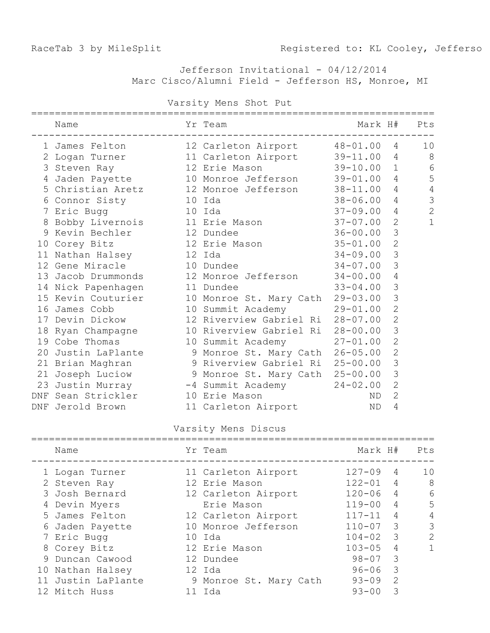Jefferson Invitational - 04/12/2014 Marc Cisco/Alumni Field - Jefferson HS, Monroe, MI

|   | Name                                             | Yr Team                          | Mark H#      |                | Pts            |
|---|--------------------------------------------------|----------------------------------|--------------|----------------|----------------|
|   | 1 James Felton                                   | 12 Carleton Airport 48-01.00 4   |              |                | 10             |
|   | 2 Logan Turner 11 Carleton Airport               |                                  | $39 - 11.00$ | 4              | 8              |
|   | 3 Steven Ray                                     | 12 Erie Mason                    | $39 - 10.00$ | $\mathbf{1}$   | 6              |
|   | 4 Jaden Payette 10 Monroe Jefferson              |                                  | $39 - 01.00$ | $\overline{4}$ | 5              |
|   | 5 Christian Aretz 12 Monroe Jefferson            |                                  | $38 - 11.00$ | 4              | $\overline{4}$ |
|   | 6 Connor Sisty 10 Ida                            |                                  | $38 - 06.00$ | 4              | 3              |
|   | 7 Eric Bugg                                      | 10 Ida                           | $37 - 09.00$ | $\overline{4}$ | $\overline{c}$ |
| 8 | Bobby Livernois 11 Erie Mason                    |                                  | $37 - 07.00$ | $\overline{2}$ | 1              |
|   | 9 Kevin Bechler<br>12 Dundee                     |                                  | $36 - 00.00$ | 3              |                |
|   | 10 Corey Bitz                                    | 12 Erie Mason                    | $35 - 01.00$ | $\overline{2}$ |                |
|   | 11 Nathan Halsey                                 | 12 Ida                           | $34 - 09.00$ | 3              |                |
|   | 12 Gene Miracle                                  | 10 Dundee                        | $34 - 07.00$ | 3              |                |
|   | 13 Jacob Drummonds 12 Monroe Jefferson           |                                  | $34 - 00.00$ | 4              |                |
|   | 14 Nick Papenhagen                               | 11 Dundee                        | $33 - 04.00$ | 3              |                |
|   | 15 Kevin Couturier                               | 10 Monroe St. Mary Cath          | $29 - 03.00$ | 3              |                |
|   | 16 James Cobb                                    | 10 Summit Academy                | $29 - 01.00$ | $\overline{2}$ |                |
|   | 17 Devin Dickow                                  | 12 Riverview Gabriel Ri          | $28 - 07.00$ | $\overline{2}$ |                |
|   | 18 Ryan Champagne                                | 10 Riverview Gabriel Ri 28-00.00 |              | 3              |                |
|   | 19 Cobe Thomas                                   | 10 Summit Academy                | $27 - 01.00$ | $\overline{2}$ |                |
|   | 20 Justin LaPlante                               | 9 Monroe St. Mary Cath           | $26 - 05.00$ | $\overline{2}$ |                |
|   | 21 Brian Maghran                                 | 9 Riverview Gabriel Ri           | $25 - 00.00$ | 3              |                |
|   | 21 Joseph Luciow 9 Monroe St. Mary Cath 25-00.00 |                                  |              | 3              |                |
|   | 23 Justin Murray                                 | -4 Summit Academy                | $24 - 02.00$ | $\overline{2}$ |                |
|   | DNF Sean Strickler                               | 10 Erie Mason                    | ND           | $\overline{2}$ |                |
|   | DNF Jerold Brown                                 | 11 Carleton Airport              | ND           | 4              |                |
|   |                                                  |                                  |              |                |                |

#### Varsity Mens Shot Put

Varsity Mens Discus

| Name               |    | Yr Team                | Mark H#    |                         | Pts           |
|--------------------|----|------------------------|------------|-------------------------|---------------|
| 1 Logan Turner     |    | 11 Carleton Airport    | $127 - 09$ | 4                       | 10            |
| 2 Steven Ray       |    | 12 Erie Mason          | $122 - 01$ | $\overline{4}$          | 8             |
| 3 Josh Bernard     |    | 12 Carleton Airport    | $120 - 06$ | $\overline{4}$          | 6             |
| 4 Devin Myers      |    | Erie Mason             | $119 - 00$ | $\overline{4}$          | .5            |
| 5 James Felton     |    | 12 Carleton Airport    | $117 - 11$ | $\overline{4}$          | 4             |
| 6 Jaden Payette    |    | 10 Monroe Jefferson    | $110 - 07$ | 3                       | 3             |
| 7 Eric Bugg        |    | 10 Ida                 | $104 - 02$ | $\overline{\mathbf{3}}$ | $\mathcal{L}$ |
| 8 Corey Bitz       |    | 12 Erie Mason          | $103 - 05$ | 4                       |               |
| 9 Duncan Cawood    |    | 12 Dundee              | $98 - 07$  | 3                       |               |
| 10 Nathan Halsey   |    | 12 Ida                 | $96 - 06$  | 3                       |               |
| 11 Justin LaPlante |    | 9 Monroe St. Mary Cath | $93 - 09$  | $\mathcal{P}$           |               |
| 12 Mitch Huss      | 11 | Ida                    | $93 - 00$  | 3                       |               |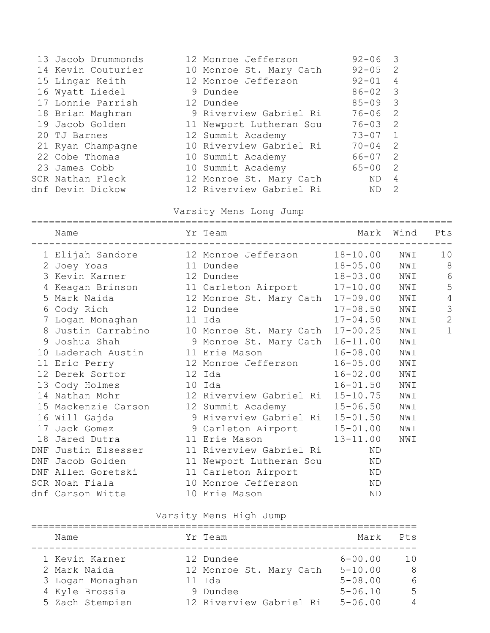| 13 Jacob Drummonds | 12 Monroe Jefferson     | $92 - 06$   | -3             |
|--------------------|-------------------------|-------------|----------------|
| 14 Kevin Couturier | 10 Monroe St. Mary Cath | $92 - 05$   | 2              |
| 15 Lingar Keith    | 12 Monroe Jefferson     | $92 - 01$   | 4              |
| 16 Wyatt Liedel    | 9 Dundee                | $86 - 02$ 3 |                |
| 17 Lonnie Parrish  | 12 Dundee               | $85 - 09$ 3 |                |
| 18 Brian Maghran   | 9 Riverview Gabriel Ri  | 76-06       | 2              |
| 19 Jacob Golden    | 11 Newport Lutheran Sou | 76-03       | $\overline{2}$ |
| 20 TJ Barnes       | 12 Summit Academy       | $73 - 07$   | $\overline{1}$ |
| 21 Ryan Champagne  | 10 Riverview Gabriel Ri | $70 - 04$   | $\overline{2}$ |
| 22 Cobe Thomas     | 10 Summit Academy       | 66-07       | - 2            |
| 23 James Cobb      | 10 Summit Academy       | 65-00       | 2              |
| SCR Nathan Fleck   | 12 Monroe St. Mary Cath | ND          | 4              |
| dnf Devin Dickow   | 12 Riverview Gabriel Ri | ND          | 2              |
|                    |                         |             |                |

### Varsity Mens Long Jump

|     | Name                                                | Yr Team                         |              | Mark Wind Pts |                |
|-----|-----------------------------------------------------|---------------------------------|--------------|---------------|----------------|
|     | 1 Elijah Sandore 12 Monroe Jefferson 18-10.00 NWI   |                                 |              |               | 10             |
|     | 2 Joey Yoas 11 Dundee                               | $18 - 05.00$                    |              | NWI           | 8 <sup>8</sup> |
|     | 3 Kevin Karner 12 Dundee                            |                                 | 18-03.00 NWI |               | 6              |
|     | 4 Keagan Brinson 11 Carleton Airport 17-10.00       |                                 |              | NWI           | 5              |
|     | 5 Mark Naida 12 Monroe St. Mary Cath                |                                 | $17 - 09.00$ | NWI           | $\overline{4}$ |
|     | 6 Cody Rich 12 Dundee                               |                                 | $17 - 08.50$ | NWI           | $\mathcal{S}$  |
|     | 7 Logan Monaghan 11 Ida                             |                                 | $17 - 04.50$ | NWI           | $\overline{2}$ |
|     | 8 Justin Carrabino 10 Monroe St. Mary Cath 17-00.25 |                                 |              | NWI           | $\mathbf{1}$   |
|     | 9 Joshua Shah 9 Monroe St. Mary Cath                |                                 | $16 - 11.00$ | NWI           |                |
|     | 10 Laderach Austin 11 Erie Mason                    |                                 | $16 - 08.00$ | NWI           |                |
|     | 11 Eric Perry 12 Monroe Jefferson                   |                                 | $16 - 05.00$ | NWI           |                |
|     | 12 Derek Sortor 12 Ida                              |                                 | $16 - 02.00$ | NWI           |                |
|     | 13 Cody Holmes 10 Ida                               |                                 | $16 - 01.50$ | NWI           |                |
|     | 14 Nathan Mohr 12 Riverview Gabriel Ri 15-10.75     |                                 |              | NWI           |                |
|     | 15 Mackenzie Carson 12 Summit Academy 15-06.50      |                                 |              | NWI           |                |
|     | 16 Will Gajda                                       | 9 Riverview Gabriel Ri 15-01.50 |              | NWI           |                |
|     | 17 Jack Gomez 9 Carleton Airport 15-01.00           |                                 |              | NWI           |                |
| 18  |                                                     |                                 |              | NWI           |                |
| DNF | Justin Elsesser 11 Riverview Gabriel Ri             |                                 | ND           |               |                |
|     | DNF Jacob Golden 11 Newport Lutheran Sou            |                                 | ND           |               |                |
|     | DNF Allen Goretski 11 Carleton Airport              |                                 | ND           |               |                |
|     | SCR Noah Fiala 10 Monroe Jefferson                  |                                 | ΝD           |               |                |
|     | dnf Carson Witte 10 Erie Mason                      |                                 | <b>ND</b>    |               |                |
|     |                                                     |                                 |              |               |                |

# Varsity Mens High Jump

| Name                                                                 | Yr Team                                                    | Mark                                                     | Pts                 |
|----------------------------------------------------------------------|------------------------------------------------------------|----------------------------------------------------------|---------------------|
| 1 Kevin Karner<br>2 Mark Naida<br>3 Logan Monaghan<br>4 Kyle Brossia | 12 Dundee<br>12 Monroe St. Mary Cath<br>11 Ida<br>9 Dundee | $6 - 00.00$<br>$5 - 10.00$<br>$5 - 08.00$<br>$5 - 06.10$ | 10<br>- 8<br>6<br>5 |
| 5 Zach Stempien                                                      | 12 Riverview Gabriel Ri                                    | $5 - 06.00$                                              | 4                   |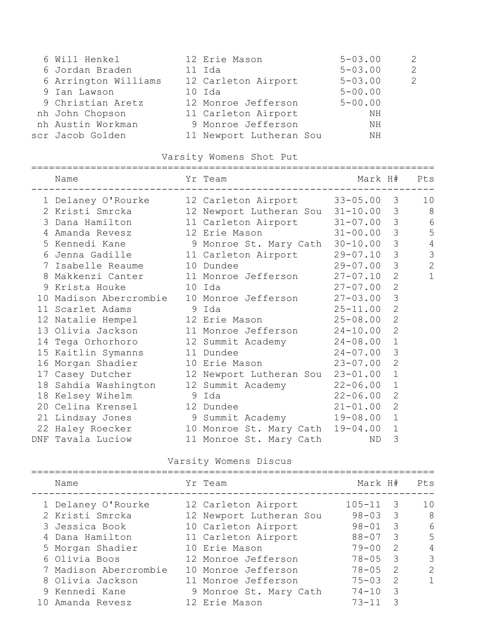| 6 Will Henkel        | 12 Erie Mason           | $5 - 03.00$ | 2 |
|----------------------|-------------------------|-------------|---|
| 6 Jordan Braden      | 11 Ida                  | $5 - 03.00$ | 2 |
| 6 Arrington Williams | 12 Carleton Airport     | $5 - 03.00$ | 2 |
| 9 Ian Lawson         | 10 Ida                  | $5 - 00.00$ |   |
| 9 Christian Aretz    | 12 Monroe Jefferson     | $5 - 00.00$ |   |
| nh John Chopson      | 11 Carleton Airport     | ΝH          |   |
| nh Austin Workman    | 9 Monroe Jefferson      | ΝH          |   |
| scr Jacob Golden     | 11 Newport Lutheran Sou | ΝH          |   |
|                      |                         |             |   |

### Varsity Womens Shot Put

#### ====================================================================

| Name              |  |                                                                                                                                                                                                                            |                                                                                                                                                                                                                                                                                            | Pts                                                                                                                                                                                                                                                                                                                                                                                                                                                                                                                                                       |
|-------------------|--|----------------------------------------------------------------------------------------------------------------------------------------------------------------------------------------------------------------------------|--------------------------------------------------------------------------------------------------------------------------------------------------------------------------------------------------------------------------------------------------------------------------------------------|-----------------------------------------------------------------------------------------------------------------------------------------------------------------------------------------------------------------------------------------------------------------------------------------------------------------------------------------------------------------------------------------------------------------------------------------------------------------------------------------------------------------------------------------------------------|
|                   |  |                                                                                                                                                                                                                            |                                                                                                                                                                                                                                                                                            | 10                                                                                                                                                                                                                                                                                                                                                                                                                                                                                                                                                        |
|                   |  |                                                                                                                                                                                                                            |                                                                                                                                                                                                                                                                                            | 8                                                                                                                                                                                                                                                                                                                                                                                                                                                                                                                                                         |
|                   |  |                                                                                                                                                                                                                            |                                                                                                                                                                                                                                                                                            | $\epsilon$                                                                                                                                                                                                                                                                                                                                                                                                                                                                                                                                                |
|                   |  |                                                                                                                                                                                                                            | $\mathcal{S}$                                                                                                                                                                                                                                                                              | 5                                                                                                                                                                                                                                                                                                                                                                                                                                                                                                                                                         |
|                   |  |                                                                                                                                                                                                                            | 3                                                                                                                                                                                                                                                                                          | $\sqrt{4}$                                                                                                                                                                                                                                                                                                                                                                                                                                                                                                                                                |
|                   |  |                                                                                                                                                                                                                            | 3                                                                                                                                                                                                                                                                                          | 3                                                                                                                                                                                                                                                                                                                                                                                                                                                                                                                                                         |
|                   |  |                                                                                                                                                                                                                            | 3                                                                                                                                                                                                                                                                                          | $\mathbf{2}$                                                                                                                                                                                                                                                                                                                                                                                                                                                                                                                                              |
|                   |  |                                                                                                                                                                                                                            | $\overline{2}$                                                                                                                                                                                                                                                                             | $\mathbf 1$                                                                                                                                                                                                                                                                                                                                                                                                                                                                                                                                               |
| 9 Krista Houke    |  |                                                                                                                                                                                                                            | $\overline{2}$                                                                                                                                                                                                                                                                             |                                                                                                                                                                                                                                                                                                                                                                                                                                                                                                                                                           |
|                   |  |                                                                                                                                                                                                                            | 3                                                                                                                                                                                                                                                                                          |                                                                                                                                                                                                                                                                                                                                                                                                                                                                                                                                                           |
| 11 Scarlet Adams  |  |                                                                                                                                                                                                                            | $\overline{2}$                                                                                                                                                                                                                                                                             |                                                                                                                                                                                                                                                                                                                                                                                                                                                                                                                                                           |
|                   |  |                                                                                                                                                                                                                            | $\overline{2}$                                                                                                                                                                                                                                                                             |                                                                                                                                                                                                                                                                                                                                                                                                                                                                                                                                                           |
|                   |  |                                                                                                                                                                                                                            | $\overline{2}$                                                                                                                                                                                                                                                                             |                                                                                                                                                                                                                                                                                                                                                                                                                                                                                                                                                           |
|                   |  |                                                                                                                                                                                                                            | $\mathbf{1}$                                                                                                                                                                                                                                                                               |                                                                                                                                                                                                                                                                                                                                                                                                                                                                                                                                                           |
|                   |  |                                                                                                                                                                                                                            | 3                                                                                                                                                                                                                                                                                          |                                                                                                                                                                                                                                                                                                                                                                                                                                                                                                                                                           |
|                   |  |                                                                                                                                                                                                                            | $\overline{2}$                                                                                                                                                                                                                                                                             |                                                                                                                                                                                                                                                                                                                                                                                                                                                                                                                                                           |
|                   |  |                                                                                                                                                                                                                            | $\mathbf{1}$                                                                                                                                                                                                                                                                               |                                                                                                                                                                                                                                                                                                                                                                                                                                                                                                                                                           |
|                   |  | $22 - 06.00$                                                                                                                                                                                                               | $\mathbf 1$                                                                                                                                                                                                                                                                                |                                                                                                                                                                                                                                                                                                                                                                                                                                                                                                                                                           |
|                   |  |                                                                                                                                                                                                                            | $\overline{2}$                                                                                                                                                                                                                                                                             |                                                                                                                                                                                                                                                                                                                                                                                                                                                                                                                                                           |
|                   |  |                                                                                                                                                                                                                            | $\overline{2}$                                                                                                                                                                                                                                                                             |                                                                                                                                                                                                                                                                                                                                                                                                                                                                                                                                                           |
|                   |  |                                                                                                                                                                                                                            | $\mathbf{1}$                                                                                                                                                                                                                                                                               |                                                                                                                                                                                                                                                                                                                                                                                                                                                                                                                                                           |
|                   |  | $19 - 04.00$                                                                                                                                                                                                               | $\mathbf{1}$                                                                                                                                                                                                                                                                               |                                                                                                                                                                                                                                                                                                                                                                                                                                                                                                                                                           |
| DNF Tavala Luciow |  | ND                                                                                                                                                                                                                         | 3                                                                                                                                                                                                                                                                                          |                                                                                                                                                                                                                                                                                                                                                                                                                                                                                                                                                           |
|                   |  | Yr Team<br>7 Isabelle Reaume 10 Dundee<br>$10$ Ida<br>9 Ida<br>12 Natalie Hempel 12 Erie Mason<br>15 Kaitlin Symanns 11 Dundee<br>16 Morgan Shadier 10 Erie Mason<br>18 Kelsey Wihelm 9 Ida<br>20 Celina Krensel 12 Dundee | 4 Amanda Revesz 12 Erie Mason<br>5 Kennedi Kane (1988) 9 Monroe St. Mary Cath<br>14 Tega Orhorhoro 12 Summit Academy 24-08.00<br>17 Casey Dutcher 12 Newport Lutheran Sou<br>18 Sahdia Washington 12 Summit Academy<br>22 Haley Roecker 10 Monroe St. Mary Cath<br>11 Monroe St. Mary Cath | Mark H#<br>_____________________________<br>2 Kristi Smrcka 12 Newport Lutheran Sou 31-10.00 3<br>3 Dana Hamilton 11 Carleton Airport 31-07.00 3<br>$31 - 00.00$<br>$30 - 10.00$<br>$29 - 07.10$<br>$29 - 07.00$<br>8 Makkenzi Canter 11 Monroe Jefferson 27-07.10<br>$27 - 07.00$<br>10 Madison Abercrombie 10 Monroe Jefferson 27-03.00<br>$25 - 11.00$<br>$25 - 08.00$<br>13 Olivia Jackson 11 Monroe Jefferson 24-10.00<br>$24 - 07.00$<br>$23 - 07.00$<br>$23 - 01.00$<br>$22 - 06.00$<br>$21 - 01.00$<br>21 Lindsay Jones 9 Summit Academy 19-08.00 |

### Varsity Womens Discus

| Name                  | Yr Team                 | Mark H#     |                            | Pts            |
|-----------------------|-------------------------|-------------|----------------------------|----------------|
| 1 Delaney O'Rourke    | 12 Carleton Airport     | $105 - 11$  | $\overline{\phantom{a}}$   | 10             |
| 2 Kristi Smrcka       | 12 Newport Lutheran Sou | $98 - 03$ 3 |                            | - 8            |
| 3 Jessica Book        | 10 Carleton Airport     | $98 - 01$   | $\overline{\phantom{a}}$ 3 | 6              |
| 4 Dana Hamilton       | 11 Carleton Airport     | $88 - 07$ 3 |                            | 5              |
| 5 Morgan Shadier      | 10 Erie Mason           | $79 - 00$   | $\overline{2}$             | $\overline{4}$ |
| 6 Olivia Boos         | 12 Monroe Jefferson     | $78 - 05$   | $\overline{\phantom{a}}$ 3 | 3              |
| 7 Madison Abercrombie | 10 Monroe Jefferson     | $78 - 05$   | $\overline{2}$             | $\overline{2}$ |
| 8 Olivia Jackson      | 11 Monroe Jefferson     | $75 - 03$   | $\overline{2}$             | 1              |
| 9 Kennedi Kane        | 9 Monroe St. Mary Cath  | $74 - 10$   | $\overline{\mathbf{3}}$    |                |
| 10 Amanda Revesz      | 12 Erie Mason           | $73 - 11$   | - 3                        |                |
|                       |                         |             |                            |                |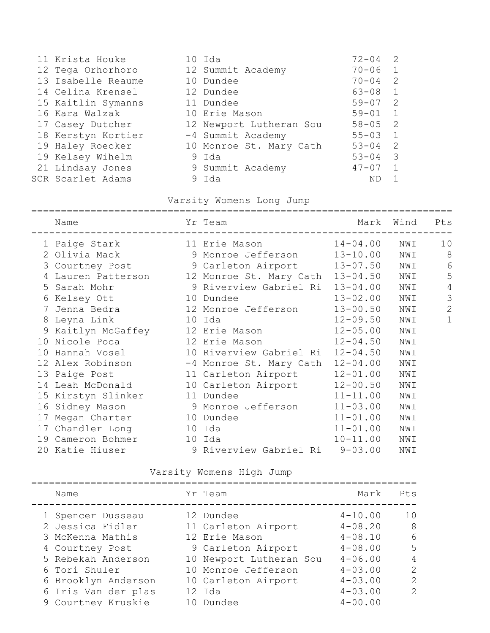|                                                                                                                                                                                                                                                    |                                                                                                                                                                                                      | 2                                                                     |
|----------------------------------------------------------------------------------------------------------------------------------------------------------------------------------------------------------------------------------------------------|------------------------------------------------------------------------------------------------------------------------------------------------------------------------------------------------------|-----------------------------------------------------------------------|
|                                                                                                                                                                                                                                                    | $70 - 06$                                                                                                                                                                                            | $\overline{1}$                                                        |
|                                                                                                                                                                                                                                                    | $70 - 04$                                                                                                                                                                                            | 2                                                                     |
|                                                                                                                                                                                                                                                    | $63 - 08$                                                                                                                                                                                            | $\sqrt{1}$                                                            |
|                                                                                                                                                                                                                                                    |                                                                                                                                                                                                      |                                                                       |
|                                                                                                                                                                                                                                                    | $59 - 01$                                                                                                                                                                                            | $\overline{1}$                                                        |
|                                                                                                                                                                                                                                                    |                                                                                                                                                                                                      |                                                                       |
|                                                                                                                                                                                                                                                    |                                                                                                                                                                                                      |                                                                       |
|                                                                                                                                                                                                                                                    | $53 - 04$                                                                                                                                                                                            | - 2                                                                   |
|                                                                                                                                                                                                                                                    |                                                                                                                                                                                                      |                                                                       |
|                                                                                                                                                                                                                                                    | $47 - 07$                                                                                                                                                                                            |                                                                       |
|                                                                                                                                                                                                                                                    | ΝD                                                                                                                                                                                                   |                                                                       |
| 11 Krista Houke<br>12 Tega Orhorhoro<br>13 Isabelle Reaume<br>14 Celina Krensel<br>15 Kaitlin Symanns<br>16 Kara Walzak<br>17 Casey Dutcher<br>18 Kerstyn Kortier<br>19 Haley Roecker<br>19 Kelsey Wihelm<br>21 Lindsay Jones<br>SCR Scarlet Adams | 10 Ida<br>12 Summit Academy<br>10 Dundee<br>12 Dundee<br>11 Dundee<br>10 Erie Mason<br>12 Newport Lutheran Sou<br>-4 Summit Academy<br>10 Monroe St. Mary Cath<br>9 Ida<br>9 Summit Academy<br>9 Ida | $72 - 04$<br>$59 - 07$ 2<br>$58 - 05$ 2<br>$55 - 03$ 1<br>$53 - 04$ 3 |

## Varsity Womens Long Jump

| Name                                       | Yr Team                        | Mark         | Wind | Pts             |
|--------------------------------------------|--------------------------------|--------------|------|-----------------|
| 1 Paige Stark 11 Erie Mason                |                                | $14 - 04.00$ | NWI  | 10              |
| 2 Olivia Mack 9 Monroe Jefferson           |                                | $13 - 10.00$ | NWI  | 8               |
| 3 Courtney Post 9 Carleton Airport         |                                | $13 - 07.50$ | NWI  | $6\phantom{1}6$ |
| 4 Lauren Patterson 12 Monroe St. Mary Cath |                                | $13 - 04.50$ | NWI  | 5               |
| 5 Sarah Mohr                               | 9 Riverview Gabriel Ri         | $13 - 04.00$ | NWI  | $\overline{4}$  |
| 6 Kelsey Ott 10 Dundee                     |                                | $13 - 02.00$ | NWI  | 3               |
| 7 Jenna Bedra (12 Monroe Jefferson         |                                | $13 - 00.50$ | NWI  | $\overline{2}$  |
| 8 Leyna Link 10 Ida                        |                                | $12 - 09.50$ | NWI  | $\mathbf{1}$    |
| 9 Kaitlyn McGaffey 12 Erie Mason           |                                | $12 - 05.00$ | NWI  |                 |
| 10 Nicole Poca 12 Erie Mason               |                                | $12 - 04.50$ | NWI  |                 |
| 10 Hannah Vosel 10 Riverview Gabriel Ri    |                                | $12 - 04.50$ | NWI  |                 |
| 12 Alex Robinson -4 Monroe St. Mary Cath   |                                | $12 - 04.00$ | NWI  |                 |
| 13 Paige Post 11 Carleton Airport          |                                | $12 - 01.00$ | NWI  |                 |
| 14 Leah McDonald 10 Carleton Airport       |                                | $12 - 00.50$ | NWI  |                 |
| 15 Kirstyn Slinker 11 Dundee               |                                | $11 - 11.00$ | NWI  |                 |
| 16 Sidney Mason 9 Monroe Jefferson         |                                | $11 - 03.00$ | NWI  |                 |
| 17 Megan Charter 10 Dundee                 |                                | $11 - 01.00$ | NWI  |                 |
| 17 Chandler Long 10 Ida                    |                                | $11 - 01.00$ | NWI  |                 |
| 19 Cameron Bohmer 10 Ida                   |                                | 10-11.00 NWI |      |                 |
| 20 Katie Hiuser                            | 9 Riverview Gabriel Ri 9-03.00 |              | NWI  |                 |

Varsity Womens High Jump

| Name                | Yr Team                 | Mark        | Pts            |
|---------------------|-------------------------|-------------|----------------|
| 1 Spencer Dusseau   | 12 Dundee               | $4 - 10.00$ | 10             |
| 2 Jessica Fidler    | 11 Carleton Airport     | $4 - 08.20$ | - 8            |
| 3 McKenna Mathis    | 12 Erie Mason           | $4 - 08.10$ | 6              |
| 4 Courtney Post     | 9 Carleton Airport      | $4 - 08.00$ | 5              |
| 5 Rebekah Anderson  | 10 Newport Lutheran Sou | $4 - 06.00$ | $\overline{4}$ |
| 6 Tori Shuler       | 10 Monroe Jefferson     | $4 - 03.00$ | $\overline{2}$ |
| 6 Brooklyn Anderson | 10 Carleton Airport     | $4 - 03.00$ | $\overline{2}$ |
| 6 Iris Van der plas | 12 Ida                  | $4 - 03.00$ | $\overline{2}$ |
| 9 Courtney Kruskie  | 10 Dundee               | $4 - 00.00$ |                |
|                     |                         |             |                |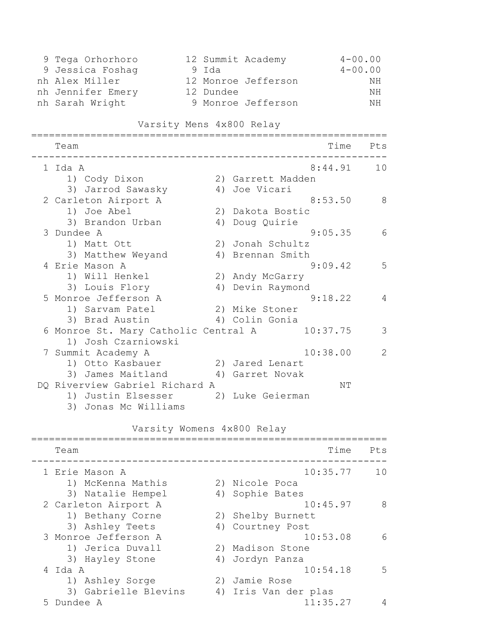| 9 Tega Orhorhoro  |           | 12 Summit Academy   | $4 - 00.00$ |
|-------------------|-----------|---------------------|-------------|
| 9 Jessica Foshaq  | 9 Ida     |                     | $4 - 00.00$ |
| nh Alex Miller    |           | 12 Monroe Jefferson | NH          |
| nh Jennifer Emery | 12 Dundee |                     | NH          |
| nh Sarah Wright   |           | 9 Monroe Jefferson  | NН          |

### Varsity Mens 4x800 Relay

| Team                                 |    |                   | Time     | Pts          |
|--------------------------------------|----|-------------------|----------|--------------|
| 1 Ida A                              |    |                   | 8:44.91  | 10           |
| 1) Cody Dixon                        |    | 2) Garrett Madden |          |              |
| 3) Jarrod Sawasky                    |    | 4) Joe Vicari     |          |              |
| 2 Carleton Airport A                 |    |                   | 8:53.50  | 8            |
| 1) Joe Abel                          |    | 2) Dakota Bostic  |          |              |
| 3) Brandon Urban                     | 4) | Doug Quirie       |          |              |
| 3 Dundee A                           |    |                   | 9:05.35  | 6            |
| 1) Matt Ott                          |    | 2) Jonah Schultz  |          |              |
| 3) Matthew Weyand                    |    | 4) Brennan Smith  |          |              |
| 4 Erie Mason A                       |    |                   | 9:09.42  | 5            |
| 1) Will Henkel                       |    | 2) Andy McGarry   |          |              |
| 3) Louis Flory                       | 4) | Devin Raymond     |          |              |
| 5 Monroe Jefferson A                 |    |                   | 9:18.22  | 4            |
| 1) Sarvam Patel                      |    | 2) Mike Stoner    |          |              |
| 3) Brad Austin                       |    | 4) Colin Gonia    |          |              |
| 6 Monroe St. Mary Catholic Central A |    |                   | 10:37.75 | 3            |
| 1) Josh Czarniowski                  |    |                   |          |              |
| 7 Summit Academy A                   |    |                   | 10:38.00 | $\mathbf{2}$ |
| 1) Otto Kasbauer                     |    | 2) Jared Lenart   |          |              |
| 3) James Maitland                    | 4) | Garret Novak      |          |              |
| DQ Riverview Gabriel Richard A       |    |                   | NΤ       |              |
| 1) Justin Elsesser                   |    | 2) Luke Geierman  |          |              |
| 3) Jonas Mc Williams                 |    |                   |          |              |

## Varsity Womens 4x800 Relay

|               | Team                 |    | Time                 | Pts |
|---------------|----------------------|----|----------------------|-----|
|               | 1 Erie Mason A       |    | 10:35.77             | 10  |
|               | 1) McKenna Mathis    |    | 2) Nicole Poca       |     |
|               | 3) Natalie Hempel    |    | 4) Sophie Bates      |     |
|               | 2 Carleton Airport A |    | 10:45.97             | 8   |
|               | 1) Bethany Corne     |    | 2) Shelby Burnett    |     |
|               | 3) Ashley Teets      |    | 4) Courtney Post     |     |
|               | 3 Monroe Jefferson A |    | 10:53.08             | 6   |
|               | 1) Jerica Duvall     |    | 2) Madison Stone     |     |
|               | 3) Hayley Stone      | 4) | Jordyn Panza         |     |
|               | 4 Ida A              |    | 10:54.18             | 5   |
|               | 1) Ashley Sorge      |    | 2) Jamie Rose        |     |
|               | 3) Gabrielle Blevins |    | 4) Iris Van der plas |     |
| $\mathcal{P}$ | Dundee A             |    | 11:35.27             |     |
|               |                      |    |                      |     |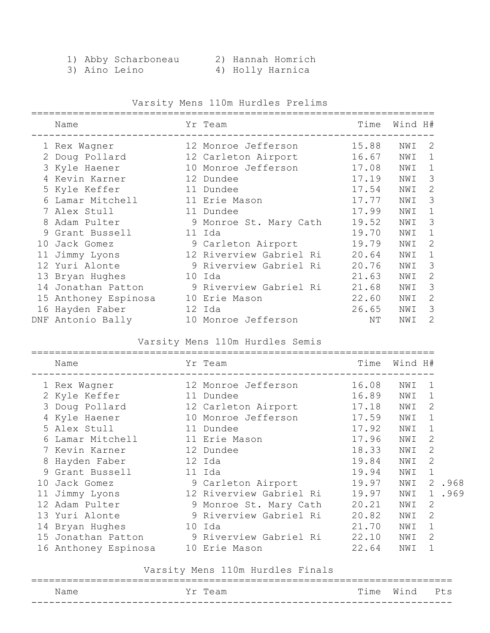- 1) Abby Scharboneau 2) Hannah Homrich
	-
	-
- 3) Aino Leino 4) Holly Harnica
	- Varsity Mens 110m Hurdles Prelims

|    | Name                 | Yr Team                 | Time  | Wind H# |                                                                                                                                                                 |
|----|----------------------|-------------------------|-------|---------|-----------------------------------------------------------------------------------------------------------------------------------------------------------------|
|    | 1 Rex Wagner         | 12 Monroe Jefferson     | 15.88 | NWI     | $\mathcal{L}$                                                                                                                                                   |
|    | 2 Doug Pollard       | 12 Carleton Airport     | 16.67 | NWI     | 1                                                                                                                                                               |
|    | 3 Kyle Haener        | 10 Monroe Jefferson     | 17.08 | NWI     | 1                                                                                                                                                               |
|    | 4 Kevin Karner       | 12 Dundee               | 17.19 | NWI     | 3                                                                                                                                                               |
|    | 5 Kyle Keffer        | 11 Dundee               | 17.54 | NWI     | 2                                                                                                                                                               |
|    | Lamar Mitchell       | 11 Erie Mason           | 17.77 | NWI     | 3                                                                                                                                                               |
|    | 7 Alex Stull         | 11 Dundee               | 17.99 | NWI     | 1                                                                                                                                                               |
| 8  | Adam Pulter          | 9 Monroe St. Mary Cath  | 19.52 | NWI     | 3                                                                                                                                                               |
|    | 9 Grant Bussell      | 11 Ida                  | 19.70 | NWI     | 1                                                                                                                                                               |
| 10 | Jack Gomez           | 9 Carleton Airport      | 19.79 | NWI     | 2                                                                                                                                                               |
| 11 | Jimmy Lyons          | 12 Riverview Gabriel Ri | 20.64 | NWI     | 1                                                                                                                                                               |
|    | 12 Yuri Alonte       | 9 Riverview Gabriel Ri  | 20.76 | NWI     | 3                                                                                                                                                               |
|    | 13 Bryan Hughes      | 10 Ida                  | 21.63 | NWI     | 2                                                                                                                                                               |
|    | 14 Jonathan Patton   | 9 Riverview Gabriel Ri  | 21.68 | NWI     | 3                                                                                                                                                               |
|    | 15 Anthoney Espinosa | 10 Erie Mason           | 22.60 | NWI     | $\mathcal{D}_{\mathcal{L}}^{\mathcal{L}}(\mathcal{L})=\mathcal{L}_{\mathcal{L}}^{\mathcal{L}}(\mathcal{L})\mathcal{L}_{\mathcal{L}}^{\mathcal{L}}(\mathcal{L})$ |
|    | 16 Hayden Faber      | 12 Ida                  | 26.65 | NWI     | 3                                                                                                                                                               |
|    | DNF Antonio Bally    | 10 Monroe Jefferson     | NΤ    | NWI     | 2                                                                                                                                                               |

### Varsity Mens 110m Hurdles Semis

|     | Name                 |    | Yr Team                 | Time  | Wind H# |                                                                                                                                                                 |      |
|-----|----------------------|----|-------------------------|-------|---------|-----------------------------------------------------------------------------------------------------------------------------------------------------------------|------|
|     | 1 Rex Wagner         |    | 12 Monroe Jefferson     | 16.08 | NWI     | 1                                                                                                                                                               |      |
|     | 2 Kyle Keffer        |    | 11 Dundee               | 16.89 | NWI     | 1                                                                                                                                                               |      |
|     | 3 Doug Pollard       |    | 12 Carleton Airport     | 17.18 | NWI     | 2                                                                                                                                                               |      |
|     | Kyle Haener          | 10 | Monroe Jefferson        | 17.59 | NWI     |                                                                                                                                                                 |      |
|     | 5 Alex Stull         |    | 11 Dundee               | 17.92 | NWI     |                                                                                                                                                                 |      |
| 6   | Lamar Mitchell       |    | 11 Erie Mason           | 17.96 | NWI     | $\mathcal{D}_{\mathcal{L}}^{\mathcal{L}}(\mathcal{L})=\mathcal{L}_{\mathcal{L}}^{\mathcal{L}}(\mathcal{L})\mathcal{L}_{\mathcal{L}}^{\mathcal{L}}(\mathcal{L})$ |      |
|     | 7 Kevin Karner       |    | 12 Dundee               | 18.33 | NWI     | $\mathcal{D}_{\mathcal{L}}^{\mathcal{L}}(\mathcal{L})=\mathcal{L}_{\mathcal{L}}^{\mathcal{L}}(\mathcal{L})\mathcal{L}_{\mathcal{L}}^{\mathcal{L}}(\mathcal{L})$ |      |
| 8   | Hayden Faber         |    | 12 Ida                  | 19.84 | NWI     | $\mathcal{D}_{\mathcal{L}}^{\mathcal{L}}(\mathcal{L})=\mathcal{L}_{\mathcal{L}}^{\mathcal{L}}(\mathcal{L})\mathcal{L}_{\mathcal{L}}^{\mathcal{L}}(\mathcal{L})$ |      |
| 9   | Grant Bussell        |    | 11 Ida                  | 19.94 | NWI     | $\mathbf 1$                                                                                                                                                     |      |
| 1 Q | Jack Gomez           |    | 9 Carleton Airport      | 19.97 | NWI     | 2                                                                                                                                                               | .968 |
|     | 11 Jimmy Lyons       |    | 12 Riverview Gabriel Ri | 19.97 | NWI     | 1                                                                                                                                                               | .969 |
|     | 12 Adam Pulter       |    | 9 Monroe St. Mary Cath  | 20.21 | NWI     | 2                                                                                                                                                               |      |
|     | 13 Yuri Alonte       |    | 9 Riverview Gabriel Ri  | 20.82 | NWI     | $\mathcal{D}_{\mathcal{L}}^{\mathcal{L}}(\mathcal{L})=\mathcal{L}_{\mathcal{L}}^{\mathcal{L}}(\mathcal{L})\mathcal{L}_{\mathcal{L}}^{\mathcal{L}}(\mathcal{L})$ |      |
|     | 14 Bryan Hughes      |    | 10 Ida                  | 21.70 | NWI     |                                                                                                                                                                 |      |
|     | 15 Jonathan Patton   |    | 9 Riverview Gabriel Ri  | 22.10 | NWI     | 2                                                                                                                                                               |      |
|     | 16 Anthoney Espinosa |    | 10 Erie Mason           | 22.64 | NWI     |                                                                                                                                                                 |      |

### Varsity Mens 110m Hurdles Finals

|      |              |      |      | ___ |
|------|--------------|------|------|-----|
| Name | Υr<br>'l'eam | Time | Wind | Pts |
|      |              |      |      |     |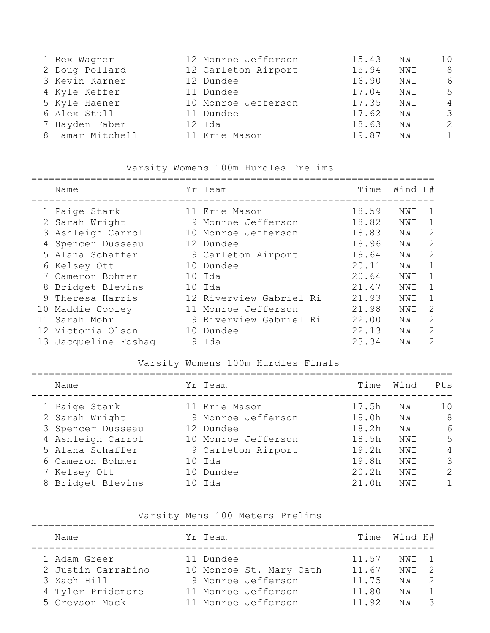| 1 Rex Wagner     | 12 Monroe Jefferson | 15.43 | NWI  | 10             |
|------------------|---------------------|-------|------|----------------|
| 2 Doug Pollard   | 12 Carleton Airport | 15.94 | NWI  | 8              |
| 3 Kevin Karner   | 12 Dundee           | 16.90 | NWI  | 6              |
| 4 Kyle Keffer    | 11 Dundee           | 17.04 | NWI  | 5              |
| 5 Kyle Haener    | 10 Monroe Jefferson | 17.35 | NWI  | 4              |
| 6 Alex Stull     | 11 Dundee           | 17.62 | NWI  | $\mathcal{S}$  |
| 7 Hayden Faber   | 12 Ida              | 18.63 | NWI  | 2              |
| 8 Lamar Mitchell | 11 Erie Mason       | 19.87 | NW T | $\overline{1}$ |
|                  |                     |       |      |                |

### Varsity Womens 100m Hurdles Prelims

#### ====================================================================

| Name                 |   | Yr Team                 | Time  | Wind H# |             |
|----------------------|---|-------------------------|-------|---------|-------------|
| 1 Paige Stark        |   | 11 Erie Mason           | 18.59 | NWI     | 1           |
| 2 Sarah Wright       |   | 9 Monroe Jefferson      | 18.82 | NWI     | 1           |
| 3 Ashleigh Carrol    |   | 10 Monroe Jefferson     | 18.83 | NWI     | 2           |
| 4 Spencer Dusseau    |   | 12 Dundee               | 18.96 | NWI     | 2           |
| 5 Alana Schaffer     |   | 9 Carleton Airport      | 19.64 | NWI     | 2           |
| 6 Kelsey Ott         |   | 10 Dundee               | 20.11 | NWI     | $\mathbf 1$ |
| 7 Cameron Bohmer     |   | 10 Ida                  | 20.64 | NWI     | 1           |
| 8 Bridget Blevins    |   | 10 Ida                  | 21.47 | NWI     | 1           |
| 9 Theresa Harris     |   | 12 Riverview Gabriel Ri | 21.93 | NWI     | 1           |
| 10 Maddie Cooley     |   | 11 Monroe Jefferson     | 21.98 | NWI     | 2           |
| Sarah Mohr           |   | 9 Riverview Gabriel Ri  | 22.00 | NWI     | 2           |
| 12 Victoria Olson    |   | 10 Dundee               | 22.13 | NWI     | 2           |
| 13 Jacqueline Foshaq | 9 | Ida                     | 23.34 | NWI     | 2           |

### Varsity Womens 100m Hurdles Finals

| Name              |     | Yr Team             | Time              | Wind | Pts           |
|-------------------|-----|---------------------|-------------------|------|---------------|
| 1 Paige Stark     |     | 11 Erie Mason       | 17.5h             | NWI  | 10            |
| 2 Sarah Wright    |     | 9 Monroe Jefferson  | 18.0 <sub>h</sub> | NWI  | 8             |
| 3 Spencer Dusseau |     | 12 Dundee           | 18.2h             | NWI  | 6             |
| 4 Ashleigh Carrol |     | 10 Monroe Jefferson | 18.5h             | NWI  | 5             |
| 5 Alana Schaffer  |     | 9 Carleton Airport  | 19.2h             | NWI  | 4             |
| 6 Cameron Bohmer  |     | 10 Ida              | 19.8h             | NWI  | 3             |
| 7 Kelsey Ott      |     | 10 Dundee           | 20.2h             | NWI  | $\mathcal{L}$ |
| 8 Bridget Blevins | 1() | Ida                 | 21.0h             | NW T |               |
|                   |     |                     |                   |      |               |

### Varsity Mens 100 Meters Prelims

| Name               | Yr Team                 |       | Time Wind H# |  |
|--------------------|-------------------------|-------|--------------|--|
| 1 Adam Greer       | 11 Dundee               | 11.57 | NWT 1        |  |
| 2 Justin Carrabino | 10 Monroe St. Mary Cath | 11.67 | NWI 2        |  |
| 3 Zach Hill        | 9 Monroe Jefferson      | 11.75 | NWT 2        |  |
| 4 Tyler Pridemore  | 11 Monroe Jefferson     | 11.80 | NWT 1        |  |
| 5 Greyson Mack     | 11 Monroe Jefferson     | 11.92 | NWI 3        |  |
|                    |                         |       |              |  |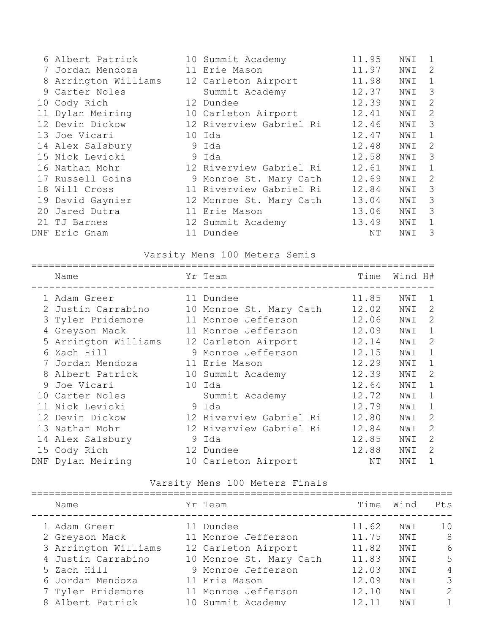| 6 Albert Patrick     | 10 Summit Academy       | 11.95 | NWI | 1              |
|----------------------|-------------------------|-------|-----|----------------|
| 7 Jordan Mendoza     | 11 Erie Mason           | 11.97 | NWI | $\overline{2}$ |
| 8 Arrington Williams | 12 Carleton Airport     | 11.98 | NWI | 1              |
| 9 Carter Noles       | Summit Academy          | 12.37 | NWI | 3              |
| 10 Cody Rich         | 12 Dundee               | 12.39 | NWI | $\overline{2}$ |
| 11 Dylan Meiring     | 10 Carleton Airport     | 12.41 | NWI | $\overline{2}$ |
| 12 Devin Dickow      | 12 Riverview Gabriel Ri | 12.46 | NWI | 3              |
| 13 Joe Vicari        | 10 Ida                  | 12.47 | NWI | $\mathbf 1$    |
| 14 Alex Salsbury     | 9 Ida                   | 12.48 | NWI | $\overline{2}$ |
| 15 Nick Levicki      | 9 Ida                   | 12.58 | NWI | 3              |
| 16 Nathan Mohr       | 12 Riverview Gabriel Ri | 12.61 | NWI | $\mathbf{1}$   |
| 17 Russell Goins     | 9 Monroe St. Mary Cath  | 12.69 | NWI | $\overline{2}$ |
| 18 Will Cross        | 11 Riverview Gabriel Ri | 12.84 | NWI | 3              |
| 19 David Gaynier     | 12 Monroe St. Mary Cath | 13.04 | NWI | 3              |
| 20 Jared Dutra       | 11 Erie Mason           | 13.06 | NWI | 3              |
| 21 TJ Barnes         | 12 Summit Academy       | 13.49 | NWI | 1              |
| DNF Eric Gnam        | 11 Dundee               | ΝT    | NWI | 3              |

Varsity Mens 100 Meters Semis

| Name                 | Yr Team                 | Time  | Wind H# |              |
|----------------------|-------------------------|-------|---------|--------------|
| 1 Adam Greer         | 11 Dundee               | 11.85 | NWI     | 1            |
| 2 Justin Carrabino   | 10 Monroe St. Mary Cath | 12.02 | NWI     | 2            |
| 3 Tyler Pridemore    | 11 Monroe Jefferson     | 12.06 | NWI     | 2            |
| 4 Greyson Mack       | 11 Monroe Jefferson     | 12.09 | NWI     | 1            |
| 5 Arrington Williams | 12 Carleton Airport     | 12.14 | NWI     | 2            |
| 6 Zach Hill          | 9 Monroe Jefferson      | 12.15 | NWI     | $\mathbf{1}$ |
| 7 Jordan Mendoza     | 11 Erie Mason           | 12.29 | NWI     | 1            |
| 8 Albert Patrick     | 10 Summit Academy       | 12.39 | NWI     | 2            |
| 9 Joe Vicari         | 10 Ida                  | 12.64 | NWI     | $\mathbf 1$  |
| 10 Carter Noles      | Summit Academy          | 12.72 | NWI     | $\mathbf 1$  |
| 11 Nick Levicki      | 9 Ida                   | 12.79 | NWI     | $\mathbf 1$  |
| 12 Devin Dickow      | 12 Riverview Gabriel Ri | 12.80 | NWI     | 2            |
| 13 Nathan Mohr       | 12 Riverview Gabriel Ri | 12.84 | NWI     | 2            |
| 14 Alex Salsbury     | 9 Ida                   | 12.85 | NWI     | 2            |
| 15 Cody Rich         | 12 Dundee               | 12.88 | NWI     | 2            |
| DNF Dylan Meiring    | 10 Carleton Airport     | NΤ    | NWI     | 1            |

### Varsity Mens 100 Meters Finals

| Name                 | Yr Team                 | Time  | Wind | Pts            |
|----------------------|-------------------------|-------|------|----------------|
| 1 Adam Greer         | 11 Dundee               | 11.62 | NWI  | 10             |
| 2 Greyson Mack       | 11 Monroe Jefferson     | 11.75 | NWI  | -8             |
| 3 Arrington Williams | 12 Carleton Airport     | 11.82 | NWI  | 6              |
| 4 Justin Carrabino   | 10 Monroe St. Mary Cath | 11.83 | NWI  | 5              |
| 5 Zach Hill          | 9 Monroe Jefferson      | 12.03 | NWI  | $\overline{4}$ |
| 6 Jordan Mendoza     | 11 Erie Mason           | 12.09 | NWI  | 3              |
| 7 Tyler Pridemore    | 11 Monroe Jefferson     | 12.10 | NWI  | $\overline{2}$ |
| 8 Albert Patrick     | 10 Summit Academy       | 12.11 | NW T | 1              |
|                      |                         |       |      |                |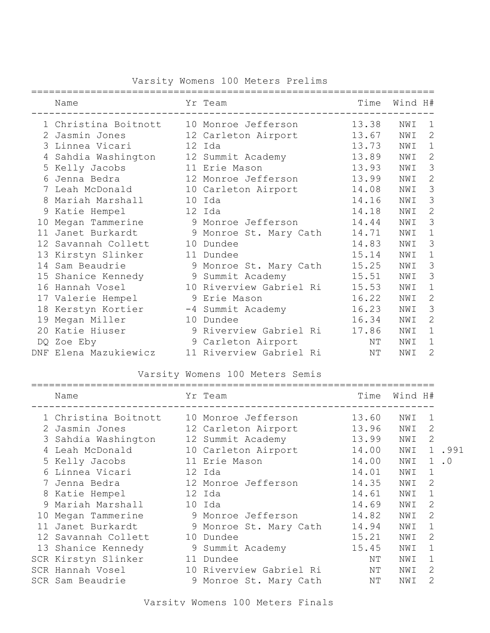|  | Varsity Womens 100 Meters Prelims |  |  |
|--|-----------------------------------|--|--|
|--|-----------------------------------|--|--|

|    | Name                  |    | Yr Team                 | Time  | Wind H# |                |
|----|-----------------------|----|-------------------------|-------|---------|----------------|
|    | 1 Christina Boitnott  |    | 10 Monroe Jefferson     | 13.38 | NWI     | 1              |
| 2  | Jasmin Jones          |    | 12 Carleton Airport     | 13.67 | NWI     | 2              |
|    | 3 Linnea Vicari       |    | 12 Ida                  | 13.73 | NWI     | $\mathbf 1$    |
| 4  | Sahdia Washington     |    | 12 Summit Academy       | 13.89 | NWI     | $\mathbf{2}$   |
|    | 5 Kelly Jacobs        |    | 11 Erie Mason           | 13.93 | NWI     | 3              |
| 6  | Jenna Bedra           |    | 12 Monroe Jefferson     | 13.99 | NWI     | $\mathbf{2}$   |
| 7  | Leah McDonald         |    | 10 Carleton Airport     | 14.08 | NWI     | 3              |
| 8  | Mariah Marshall       |    | 10 Ida                  | 14.16 | NWI     | 3              |
| 9  | Katie Hempel          |    | 12 Ida                  | 14.18 | NWI     | $\mathbf{2}$   |
| 10 | Megan Tammerine       |    | 9 Monroe Jefferson      | 14.44 | NWI     | 3              |
| 11 | Janet Burkardt        | 9  | Monroe St. Mary Cath    | 14.71 | NWI     | 1              |
|    | 12 Savannah Collett   | 10 | Dundee                  | 14.83 | NWI     | 3              |
|    | 13 Kirstyn Slinker    |    | 11 Dundee               | 15.14 | NWI     | $\mathbf 1$    |
|    | 14 Sam Beaudrie       | 9  | Monroe St. Mary Cath    | 15.25 | NWI     | 3              |
|    | 15 Shanice Kennedy    | 9  | Summit Academy          | 15.51 | NWI     | 3              |
|    | 16 Hannah Vosel       |    | 10 Riverview Gabriel Ri | 15.53 | NWI     | 1              |
|    | 17 Valerie Hempel     | 9  | Erie Mason              | 16.22 | NWI     | $\mathbf{2}$   |
|    | 18 Kerstyn Kortier    |    | -4 Summit Academy       | 16.23 | NWI     | 3              |
| 19 | Megan Miller          | 10 | Dundee                  | 16.34 | NWI     | $\overline{2}$ |
| 20 | Katie Hiuser          |    | 9 Riverview Gabriel Ri  | 17.86 | NWI     | $\mathbf 1$    |
|    | DQ Zoe Eby            |    | 9 Carleton Airport      | NΤ    | NWI     | $\mathbf 1$    |
|    | DNF Elena Mazukiewicz |    | 11 Riverview Gabriel Ri | ΝT    | NWI     | $\overline{2}$ |

Varsity Womens 100 Meters Semis

|    | Name                 |    | Yr Team                 | Time  | Wind H# |                             |           |
|----|----------------------|----|-------------------------|-------|---------|-----------------------------|-----------|
|    | 1 Christina Boitnott |    | 10 Monroe Jefferson     | 13.60 | NWI     | 1                           |           |
|    | Jasmin Jones         |    | 12 Carleton Airport     | 13.96 | NWI     | 2                           |           |
|    | Sahdia Washington    |    | 12 Summit Academy       | 13.99 | NWI     | 2                           |           |
|    | Leah McDonald        |    | 10 Carleton Airport     | 14.00 | NWI     | $\mathbf 1$                 | .991      |
|    | 5 Kelly Jacobs       |    | 11 Erie Mason           | 14.00 | NWI     | $\mathbf{1}$                | $\cdot$ 0 |
| 6  | Linnea Vicari        |    | 12 Ida                  | 14.01 | NWI     | 1                           |           |
|    | Jenna Bedra          |    | 12 Monroe Jefferson     | 14.35 | NWI     | $\mathcal{D}_{\mathcal{L}}$ |           |
| 8  | Katie Hempel         |    | 12 Ida                  | 14.61 | NWI     | 1                           |           |
|    | Mariah Marshall      |    | 10 Ida                  | 14.69 | NWI     | 2                           |           |
|    | 10 Megan Tammerine   |    | 9 Monroe Jefferson      | 14.82 | NWI     | 2                           |           |
| 11 | Janet Burkardt       |    | 9 Monroe St. Mary Cath  | 14.94 | NWI     | 1                           |           |
|    | 12 Savannah Collett  | 10 | Dundee                  | 15.21 | NWI     | $\mathcal{L}$               |           |
|    | 13 Shanice Kennedy   |    | 9 Summit Academy        | 15.45 | NWI     |                             |           |
|    | SCR Kirstyn Slinker  |    | 11 Dundee               | NΤ    | NWI     |                             |           |
|    | SCR Hannah Vosel     |    | 10 Riverview Gabriel Ri | NΤ    | NWI     | $\mathcal{L}$               |           |
|    | SCR Sam Beaudrie     |    | 9 Monroe St. Mary Cath  | ΝT    | NWI     | 2                           |           |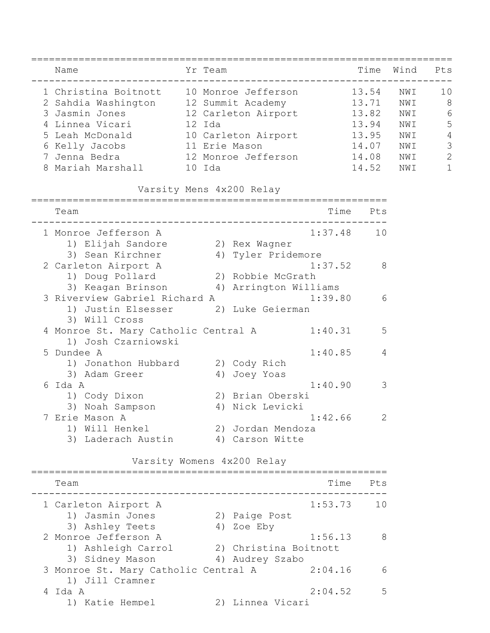|   | ==============<br>Name                                                            | Yr Team |                            |            | Time Wind      |            | Pts            |
|---|-----------------------------------------------------------------------------------|---------|----------------------------|------------|----------------|------------|----------------|
|   | 1 Christina Boitnott 10 Monroe Jefferson<br>2 Sahdia Washington 12 Summit Academy |         |                            |            | 13.54<br>13.71 | NWI<br>NWI | 10<br>8        |
|   | 3 Jasmin Jones                                                                    |         | 12 Carleton Airport 13.82  |            |                | NWI        | 6              |
| 4 | Linnea Vicari               12 Ida                                                |         |                            |            | 13.94          | NWI        | 5              |
|   |                                                                                   |         |                            | 13.95      |                | NWI        | $\overline{4}$ |
|   | 5 Leah McDonald 10 Carleton Airport<br>6 Kelly Jacobs 11 Erie Mason               |         |                            |            | 14.07          | NWI        | 3              |
|   | 7 Jenna Bedra               12 Monroe Jefferson           14.08                   |         |                            |            |                | NWI        | $\overline{c}$ |
|   | 8 Mariah Marshall 10 Ida                                                          |         |                            |            | 14.52          | NWI        | $\mathbf{1}$   |
|   |                                                                                   |         | Varsity Mens 4x200 Relay   |            |                |            |                |
|   | Team                                                                              |         |                            | Time       | Pts            |            |                |
|   | 1 Monroe Jefferson A<br>1) Elijah Sandore (2) Rex Wagner                          |         |                            | 1:37.48    | 10             |            |                |
|   | 3) Sean Kirchner                                                                  |         | 4) Tyler Pridemore         |            |                |            |                |
|   | 2 Carleton Airport A                                                              |         |                            | 1:37.52    | 8              |            |                |
|   | 1) Doug Pollard                                                                   |         | 2) Robbie McGrath          |            |                |            |                |
|   | 3) Keagan Brinson (4) Arrington Williams                                          |         |                            |            |                |            |                |
|   | 3 Riverview Gabriel Richard A                                                     |         |                            | 1:39.80    | 6              |            |                |
|   | 1) Justin Elsesser (2) Luke Geierman<br>3) Will Cross                             |         |                            |            |                |            |                |
|   | 4 Monroe St. Mary Catholic Central A<br>1) Josh Czarniowski                       |         |                            | 1:40.31    | 5              |            |                |
|   | 5 Dundee A                                                                        |         |                            | 1:40.85    | 4              |            |                |
|   | 1) Jonathon Hubbard                                                               |         | 2) Cody Rich               |            |                |            |                |
|   | 3) Adam Greer                                                                     |         | 4) Joey Yoas               |            |                |            |                |
|   | 6 Ida A                                                                           |         |                            | 1:40.90    | 3              |            |                |
|   | 1) Cody Dixon                                                                     |         | 2) Brian Oberski           |            |                |            |                |
|   | 3) Noah Sampson                                                                   |         | 4) Nick Levicki            |            |                |            |                |
|   | Erie Mason A                                                                      |         |                            | 1:42.66    | $\sim$ 2       |            |                |
|   | 1) Will Henkel                                                                    |         | 2) Jordan Mendoza          |            |                |            |                |
|   | 3) Laderach Austin (4) Carson Witte                                               |         |                            |            |                |            |                |
|   |                                                                                   |         | Varsity Womens 4x200 Relay |            |                |            |                |
|   | Team                                                                              |         |                            | Time       | Pts            |            |                |
|   | 1 Carleton Airport A                                                              |         |                            | 1:53.73 10 |                |            |                |
|   | 1) Jasmin Jones                                                                   |         | 2) Paige Post              |            |                |            |                |
|   | 3) Ashley Teets                                                                   |         | 4) Zoe Eby                 |            |                |            |                |
|   | 2 Monroe Jefferson A                                                              |         |                            | 1:56.13    | 8              |            |                |
|   | 1) Ashleigh Carrol (2) Christina Boitnott                                         |         |                            |            |                |            |                |
|   | 3) Sidney Mason (4) Audrey Szabo                                                  |         |                            |            |                |            |                |
|   | 3 Monroe St. Mary Catholic Central A 2:04.16<br>1) Jill Cramner                   |         |                            |            | 6              |            |                |
|   | 4 Ida A                                                                           |         |                            | 2:04.52    | 5              |            |                |
|   | 1) Katie Hempel                                                                   |         | 2) Linnea Vicari           |            |                |            |                |
|   |                                                                                   |         |                            |            |                |            |                |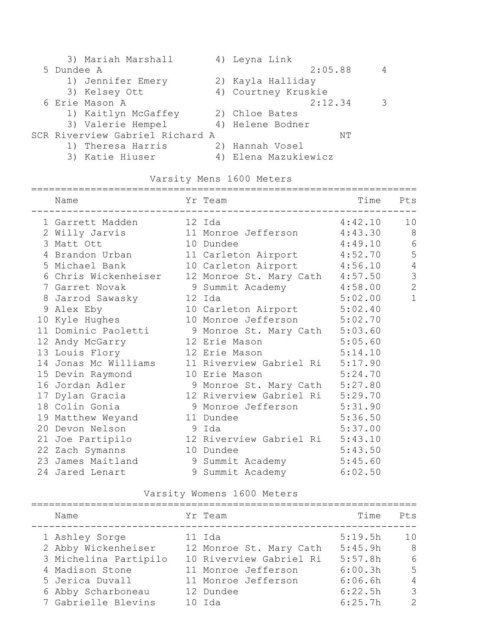|            | 3) Mariah Marshall              | 4) Leyna Link        |   |
|------------|---------------------------------|----------------------|---|
| 5 Dundee A |                                 | 2:05.88              | 4 |
|            | 1) Jennifer Emery               | 2) Kayla Halliday    |   |
|            | 3) Kelsey Ott                   | 4) Courtney Kruskie  |   |
|            | 6 Erie Mason A                  | 2:12.34              | 3 |
|            | 1) Kaitlyn McGaffey             | 2) Chloe Bates       |   |
|            | 3) Valerie Hempel               | 4) Helene Bodner     |   |
|            | SCR Riverview Gabriel Richard A | NΤ                   |   |
|            | 1) Theresa Harris               | 2) Hannah Vosel      |   |
|            | 3) Katie Hiuser                 | 4) Elena Mazukiewicz |   |

### Varsity Mens 1600 Meters

| Name                            | Yr Team                                              | Time Pts |               |
|---------------------------------|------------------------------------------------------|----------|---------------|
| 1 Garrett Madden 12 Ida         |                                                      | 4:42.10  | 10            |
|                                 | 2 Willy Jarvis 11 Monroe Jefferson 4:43.30           |          | 8             |
| 3 Matt Ott                      | 10 Dundee                                            | 4:49.10  | 6             |
| 4 Brandon Urban                 | 11 Carleton Airport 4:52.70                          |          | 5             |
| 5 Michael Bank                  | 10 Carleton Airport 4:56.10                          |          | $\sqrt{4}$    |
|                                 | 6 Chris Wickenheiser 12 Monroe St. Mary Cath 4:57.50 |          | $\mathcal{S}$ |
|                                 | 7 Garret Novak 9 Summit Academy 4:58.00              |          | $\mathbf{2}$  |
| 8 Jarrod Sawasky 12 Ida         |                                                      | 5:02.00  | $\mathbf{1}$  |
| 9 Alex Eby                      | 10 Carleton Airport 5:02.40                          |          |               |
| 10 Kyle Hughes                  | 10 Monroe Jefferson 5:02.70                          |          |               |
|                                 | 11 Dominic Paoletti 9 Monroe St. Mary Cath 5:03.60   |          |               |
|                                 | 12 Andy McGarry 12 Erie Mason 5:05.60                |          |               |
| 13 Louis Flory 12 Erie Mason    |                                                      | 5:14.10  |               |
|                                 | 14 Jonas Mc Williams 11 Riverview Gabriel Ri 5:17.90 |          |               |
| 15 Devin Raymond 10 Erie Mason  | 5:24.70                                              |          |               |
|                                 | 16 Jordan Adler 5:27.80                              |          |               |
|                                 | 17 Dylan Gracia (12 Riverview Gabriel Ri 5:29.70     |          |               |
|                                 | 18 Colin Gonia (18 Monroe Jefferson 5:31.90)         |          |               |
| 19 Matthew Weyand 11 Dundee     |                                                      | 5:36.50  |               |
| 20 Devon Nelson<br>e dia 19 dag |                                                      | 5:37.00  |               |
|                                 | 21 Joe Partipilo 12 Riverview Gabriel Ri 5:43.10     |          |               |
| 22 Zach Symanns                 | 10 Dundee                                            | 5:43.50  |               |
|                                 | 23 James Maitland 9 Summit Academy 5:45.60           |          |               |
| 24 Jared Lenart                 | 9 Summit Academy 6:02.50                             |          |               |

### Varsity Womens 1600 Meters

| Name                                  | Yr Team                           | Time               | Pts            |
|---------------------------------------|-----------------------------------|--------------------|----------------|
| 1 Ashley Sorge<br>2 Abby Wickenheiser | 11 Ida<br>12 Monroe St. Mary Cath | 5:19.5h<br>5:45.9h | 10<br>- 8      |
| 3 Michelina Partipilo                 | 10 Riverview Gabriel Ri           | 5:57.8h            | 6              |
| 4 Madison Stone                       | 11 Monroe Jefferson               | 6:00.3h            | 5              |
| 5 Jerica Duvall                       | 11 Monroe Jefferson               | 6:06.6h            | $\overline{4}$ |
| 6 Abby Scharboneau                    | 12 Dundee                         | 6:22.5h            | $\mathcal{S}$  |
| 7 Gabrielle Blevins                   | $10$ Tda                          | 6:25.7h            | $\mathcal{P}$  |
|                                       |                                   |                    |                |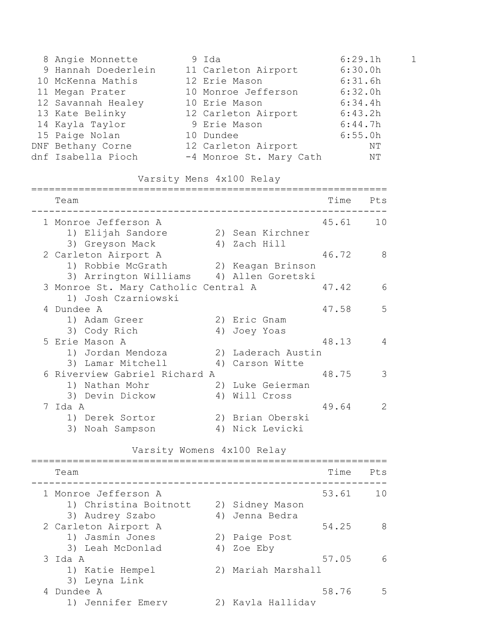| 8 Angie Monnette    | 9 Ida                   | 6:29.1h | $\mathbf{1}$ |
|---------------------|-------------------------|---------|--------------|
| 9 Hannah Doederlein | 11 Carleton Airport     | 6:30.0h |              |
| 10 McKenna Mathis   | 12 Erie Mason           | 6:31.6h |              |
| 11 Megan Prater     | 10 Monroe Jefferson     | 6:32.0h |              |
| 12 Savannah Healey  | 10 Erie Mason           | 6:34.4h |              |
| 13 Kate Belinky     | 12 Carleton Airport     | 6:43.2h |              |
| 14 Kayla Taylor     | 9 Erie Mason            | 6:44.7h |              |
| 15 Paige Nolan      | 10 Dundee               | 6:55.0h |              |
| DNF Bethany Corne   | 12 Carleton Airport     | NΤ      |              |
| dnf Isabella Pioch  | -4 Monroe St. Mary Cath | NΤ      |              |

## Varsity Mens 4x100 Relay

| Team                                     |    |                    | Time  | Pts           |
|------------------------------------------|----|--------------------|-------|---------------|
| 1 Monroe Jefferson A                     |    |                    | 45.61 | 10            |
| 1) Elijah Sandore                        |    | 2) Sean Kirchner   |       |               |
| 3) Greyson Mack                          |    | 4) Zach Hill       |       |               |
| 2 Carleton Airport A                     |    |                    | 46.72 | 8             |
| 1) Robbie McGrath                        |    | 2) Keagan Brinson  |       |               |
| 3) Arrington Williams (4) Allen Goretski |    |                    |       |               |
| 3 Monroe St. Mary Catholic Central A     |    |                    | 47.42 | 6             |
| 1) Josh Czarniowski                      |    |                    |       |               |
| 4 Dundee A                               |    |                    | 47.58 | 5             |
| 1) Adam Greer                            |    | 2) Eric Gnam       |       |               |
| 3) Cody Rich                             |    | 4) Joey Yoas       |       |               |
| 5 Erie Mason A                           |    |                    | 48.13 | 4             |
| 1) Jordan Mendoza                        |    | 2) Laderach Austin |       |               |
| 3) Lamar Mitchell                        | 4) | Carson Witte       |       |               |
| 6 Riverview Gabriel Richard A            |    |                    | 48.75 | 3             |
| 1) Nathan Mohr                           | 2) | Luke Geierman      |       |               |
| 3) Devin Dickow                          | 4) | Will Cross         |       |               |
| Tda A                                    |    |                    | 49.64 | $\mathcal{L}$ |
| 1) Derek Sortor                          |    | 2) Brian Oberski   |       |               |
| 3)<br>Noah Sampson                       | 4) | Nick Levicki       |       |               |
|                                          |    |                    |       |               |

#### Varsity Womens 4x100 Relay

| Team                                                       | Time                                        | Pt.s |
|------------------------------------------------------------|---------------------------------------------|------|
| 1 Monroe Jefferson A<br>1) Christina Boitnott              | 53.61<br>2) Sidney Mason                    | 1 N  |
| 3) Audrey Szabo<br>2 Carleton Airport A<br>1) Jasmin Jones | Jenna Bedra<br>4)<br>54.25<br>2) Paige Post | 8    |
| 3) Leah McDonlad<br>3 Ida A<br>1) Katie Hempel             | 4) Zoe Eby<br>57.05<br>2) Mariah Marshall   | 6    |
| 3) Leyna Link<br>4 Dundee A<br>1) Jennifer Emery           | 58.76<br>2) Kayla Halliday                  | .5   |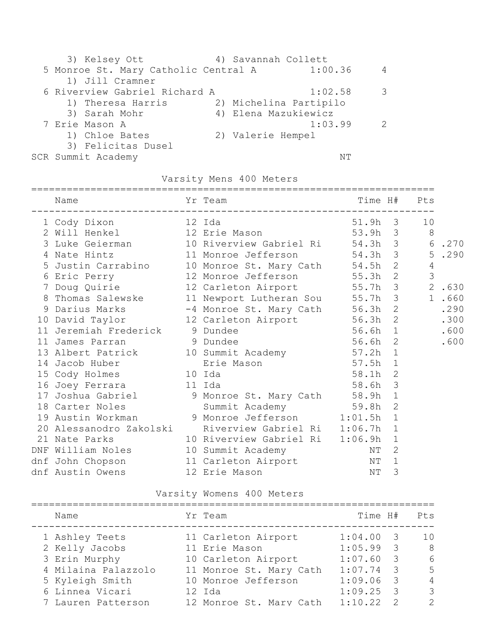|  | 3) Kelsey Ott                        | 4) Savannah Collett  |                        |               |
|--|--------------------------------------|----------------------|------------------------|---------------|
|  | 5 Monroe St. Mary Catholic Central A |                      | 1:00.36                | 4             |
|  | 1) Jill Cramner                      |                      |                        |               |
|  | 6 Riverview Gabriel Richard A        |                      | 1:02.58                | 3             |
|  | 1) Theresa Harris                    |                      | 2) Michelina Partipilo |               |
|  | 3) Sarah Mohr                        | 4) Elena Mazukiewicz |                        |               |
|  | 7 Erie Mason A                       |                      | 1:03.99                | $\mathcal{P}$ |
|  | 1) Chloe Bates                       | 2) Valerie Hempel    |                        |               |
|  | 3) Felicitas Dusel                   |                      |                        |               |
|  | SCR Summit Academy                   |                      | NΤ                     |               |

### Varsity Mens 400 Meters

| Name                                                                                                                                         |           |         |              | Time H# Pts |        |
|----------------------------------------------------------------------------------------------------------------------------------------------|-----------|---------|--------------|-------------|--------|
|                                                                                                                                              |           |         |              |             |        |
|                                                                                                                                              |           |         |              |             |        |
| 3 Luke Geierman 10 Riverview Gabriel Ri 54.3h 3 6.270                                                                                        |           |         |              |             |        |
| 4 Nate Hintz<br>5 Justin Carrabino<br>5 Justin Carrabino<br>5 Justin Carrabino<br>10 Monroe Jefferson<br>12 Monroe Jefferson<br>55.3h 2<br>3 |           |         |              |             |        |
|                                                                                                                                              |           |         |              |             |        |
|                                                                                                                                              |           |         |              |             |        |
| 7 Doug Quirie 12 Carleton Airport 55.7h 3 2.630                                                                                              |           |         |              |             |        |
| 8 Thomas Salewske 11 Newport Lutheran Sou 55.7h 3                                                                                            |           |         |              |             | 1 .660 |
| 9 Darius Marks -4 Monroe St. Mary Cath 56.3h 2 .290<br>10 David Taylor 12 Carleton Airport 56.3h 2 .300                                      |           |         |              |             |        |
|                                                                                                                                              |           |         |              |             |        |
| 11 Jeremiah Frederick 9 Dundee                                                                                                               | $56.6h$ 1 |         |              |             | .600   |
| 11 James Parran 5 9 Dundee                                                                                                                   |           | 56.6h 2 |              |             | .600   |
| 13 Albert Patrick 10 Summit Academy 57.2h 1<br>14 Jacob Huber Erie Mason 57.5h 1<br>15 Cody Holmes 10 Ida 58.1h 2                            |           |         |              |             |        |
|                                                                                                                                              |           |         |              |             |        |
|                                                                                                                                              |           |         |              |             |        |
| 16 Joey Ferrara 11 Ida                                                                                                                       |           | 58.6h 3 |              |             |        |
| 17 Joshua Gabriel 9 Monroe St. Mary Cath 58.9h 1<br>18 Carter Noles 59.8h 2<br>19 Austin Workman 9 Monroe Jefferson 1:01.5h 1                |           |         |              |             |        |
|                                                                                                                                              |           |         |              |             |        |
|                                                                                                                                              |           |         |              |             |        |
| 20 Alessanodro Zakolski Riverview Gabriel Ri 1:06.7h 1                                                                                       |           |         |              |             |        |
| 21 Nate Parks 10 Riverview Gabriel Ri 1:06.9h 1                                                                                              |           |         |              |             |        |
| DNF William Noles 10 Summit Academy                                                                                                          |           | NΤ      | 2            |             |        |
|                                                                                                                                              |           |         | $\mathbf{1}$ |             |        |
|                                                                                                                                              |           |         | 3            |             |        |
|                                                                                                                                              |           |         |              |             |        |

### Varsity Womens 400 Meters

| Name                | Yr Team                 | Time H# |                          | Pts            |
|---------------------|-------------------------|---------|--------------------------|----------------|
| 1 Ashley Teets      | 11 Carleton Airport     | 1:04.00 | $\overline{\phantom{a}}$ | 1 <sub>0</sub> |
| 2 Kelly Jacobs      | 11 Erie Mason           | 1:05.99 | $\overline{\phantom{a}}$ | - 8            |
| 3 Erin Murphy       | 10 Carleton Airport     | 1:07.60 | $\overline{\phantom{a}}$ | 6              |
| 4 Milaina Palazzolo | 11 Monroe St. Mary Cath | 1:07.74 | - 3                      | 5              |
| 5 Kyleigh Smith     | 10 Monroe Jefferson     | 1:09.06 | $\overline{\phantom{a}}$ | $\overline{4}$ |
| 6 Linnea Vicari     | 12 Ida                  | 1:09.25 | - 3                      | 3              |
| 7 Lauren Patterson  | 12 Monroe St. Mary Cath | 1:10.22 | - 2                      | $\mathcal{P}$  |
|                     |                         |         |                          |                |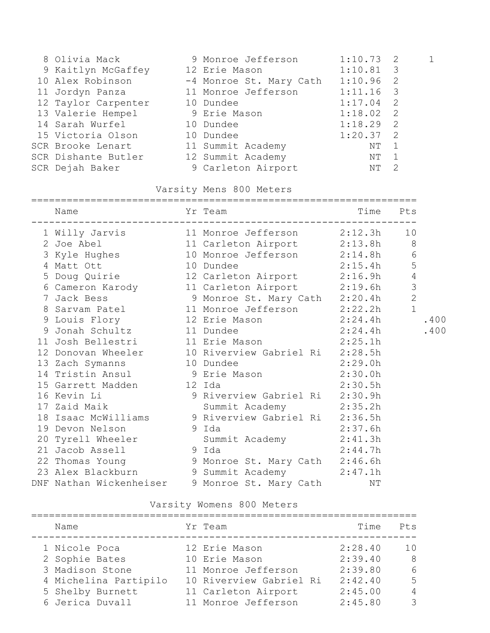| 8 Olivia Mack                  | 9 Monroe Jefferson      | 1:10.73     | $\overline{2}$             |  |
|--------------------------------|-------------------------|-------------|----------------------------|--|
| 9 Kaitlyn McGaffey             | 12 Erie Mason           | $1:10.81$ 3 |                            |  |
| 10 Alex Robinson               | -4 Monroe St. Mary Cath | $1:10.96$ 2 |                            |  |
| 11 Jordyn Panza                | 11 Monroe Jefferson     | 1:11.16     | $\overline{\phantom{a}}$ 3 |  |
| 12 Taylor Carpenter            | 10 Dundee               | $1:17.04$ 2 |                            |  |
| 13 Valerie Hempel 9 Erie Mason |                         | 1:18.02     | $\overline{\phantom{0}}^2$ |  |
| 14 Sarah Wurfel                | 10 Dundee               | 1:18.29     | $\overline{2}$             |  |
| 15 Victoria Olson              | 10 Dundee               | 1:20.37 2   |                            |  |
| SCR Brooke Lenart              | 11 Summit Academy       | NΤ          | - 1                        |  |
| SCR Dishante Butler            | 12 Summit Academy       | NΤ          |                            |  |
| SCR Dejah Baker                | 9 Carleton Airport      | ΝT          | $\overline{2}$             |  |

### Varsity Mens 800 Meters

| Name                                              | Yr Team                                                                                                                                  | Time Pts |                |      |
|---------------------------------------------------|------------------------------------------------------------------------------------------------------------------------------------------|----------|----------------|------|
|                                                   | 1 Willy Jarvis 11 Monroe Jefferson 2:12.3h 10<br>2 Joe Abel 11 Carleton Airport 2:13.8h 8<br>3 Kyle Hughes 10 Monroe Jefferson 2:14.8h 6 |          |                |      |
|                                                   |                                                                                                                                          |          |                |      |
|                                                   |                                                                                                                                          |          |                |      |
|                                                   | 4 Matt Ott 10 Dundee 2:15.4h<br>5 Doug Quirie 12 Carleton Airport 2:16.9h                                                                | 2:15.4h  | $\overline{5}$ |      |
|                                                   |                                                                                                                                          |          | $\overline{4}$ |      |
|                                                   | 6 Cameron Karody 11 Carleton Airport 2:19.6h                                                                                             |          | $\mathfrak{Z}$ |      |
|                                                   | 7 Jack Bess 3 Monroe St. Mary Cath 2:20.4h                                                                                               |          | $\overline{2}$ |      |
|                                                   | 8 Sarvam Patel 11 Monroe Jefferson 2:22.2h                                                                                               |          | $\mathbf{1}$   |      |
|                                                   | 9 Louis Flory 12 Erie Mason 2:24.4h                                                                                                      |          |                | .400 |
|                                                   | 9 Jonah Schultz 11 Dundee 2:24.4h<br>11 Josh Bellestri 11 Erie Mason 2:25.1h                                                             |          |                | .400 |
|                                                   |                                                                                                                                          |          |                |      |
|                                                   | 12 Donovan Wheeler 10 Riverview Gabriel Ri 2:28.5h                                                                                       |          |                |      |
|                                                   | 13 Zach Symanns 10 Dundee 2:29.0h                                                                                                        |          |                |      |
|                                                   | 14 Tristin Ansul 9 Erie Mason 2:30.0h                                                                                                    |          |                |      |
| 15 Garrett Madden 12 Ida<br>16 Kevin Li 16 9 Rive | 2:30.5h                                                                                                                                  |          |                |      |
|                                                   | 9 Riverview Gabriel Ri 2:30.9h                                                                                                           |          |                |      |
|                                                   | 17 Zaid Maik Summit Academy 2:35.2h                                                                                                      |          |                |      |
|                                                   | 18 Isaac McWilliams 9 Riverview Gabriel Ri 2:36.5h                                                                                       |          |                |      |
| 19 Devon Nelson 9 Ida                             | 2:37.6h                                                                                                                                  |          |                |      |
|                                                   | 20 Tyrell Wheeler Summit Academy 2:41.3h                                                                                                 |          |                |      |
| 21 Jacob Assell 9 Ida                             | 2:44.7h                                                                                                                                  |          |                |      |
|                                                   | 22 Thomas Young 9 Monroe St. Mary Cath 2:46.6h                                                                                           |          |                |      |
|                                                   | 23 Alex Blackburn 9 Summit Academy 2:47.1h                                                                                               |          |                |      |
|                                                   | DNF Nathan Wickenheiser 9 Monroe St. Mary Cath MT                                                                                        |          |                |      |

## Varsity Womens 800 Meters

| Name                  | Yr Team                 | Time    | Pts            |
|-----------------------|-------------------------|---------|----------------|
| 1 Nicole Poca         | 12 Erie Mason           | 2:28.40 | 1 <sub>0</sub> |
| 2 Sophie Bates        | 10 Erie Mason           | 2:39.40 | - 8            |
| 3 Madison Stone       | 11 Monroe Jefferson     | 2:39.80 | 6              |
| 4 Michelina Partipilo | 10 Riverview Gabriel Ri | 2:42.40 | 5              |
| 5 Shelby Burnett      | 11 Carleton Airport     | 2:45.00 | $\overline{4}$ |
| 6 Jerica Duvall       | 11 Monroe Jefferson     | 2:45.80 | 3              |
|                       |                         |         |                |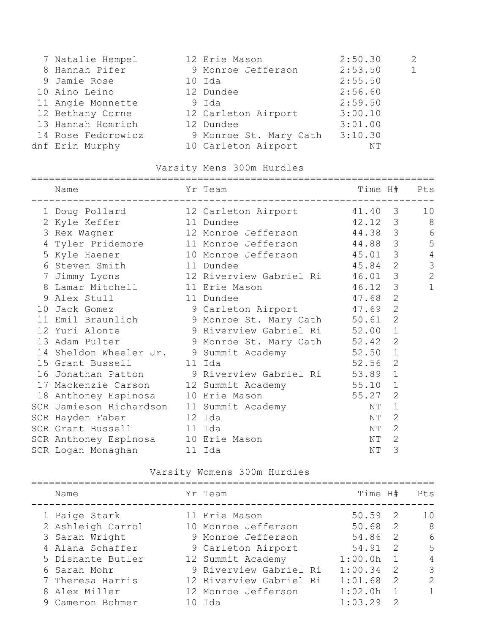| 7 Natalie Hempel   | 12 Erie Mason          | 2:50.30 | 2            |
|--------------------|------------------------|---------|--------------|
| 8 Hannah Pifer     | 9 Monroe Jefferson     | 2:53.50 | $\mathbf{1}$ |
| 9 Jamie Rose       | 10 Ida                 | 2:55.50 |              |
| 10 Aino Leino      | 12 Dundee              | 2:56.60 |              |
| 11 Angie Monnette  | 9 Ida                  | 2:59.50 |              |
| 12 Bethany Corne   | 12 Carleton Airport    | 3:00.10 |              |
| 13 Hannah Homrich  | 12 Dundee              | 3:01.00 |              |
| 14 Rose Fedorowicz | 9 Monroe St. Mary Cath | 3:10.30 |              |
| dnf Erin Murphy    | 10 Carleton Airport    | NΤ      |              |
|                    |                        |         |              |

### Varsity Mens 300m Hurdles

#### ====================================================================

| Name |                                                                  |                                                                                                                                                                                                                                                                                                                        |                                           | Pts                                                                                                                                                                                                                                                                                                                                                                                                                                                                                                                                                                                                      |
|------|------------------------------------------------------------------|------------------------------------------------------------------------------------------------------------------------------------------------------------------------------------------------------------------------------------------------------------------------------------------------------------------------|-------------------------------------------|----------------------------------------------------------------------------------------------------------------------------------------------------------------------------------------------------------------------------------------------------------------------------------------------------------------------------------------------------------------------------------------------------------------------------------------------------------------------------------------------------------------------------------------------------------------------------------------------------------|
|      |                                                                  |                                                                                                                                                                                                                                                                                                                        |                                           | 10                                                                                                                                                                                                                                                                                                                                                                                                                                                                                                                                                                                                       |
|      |                                                                  |                                                                                                                                                                                                                                                                                                                        |                                           | 8                                                                                                                                                                                                                                                                                                                                                                                                                                                                                                                                                                                                        |
|      |                                                                  |                                                                                                                                                                                                                                                                                                                        |                                           | 6                                                                                                                                                                                                                                                                                                                                                                                                                                                                                                                                                                                                        |
|      |                                                                  |                                                                                                                                                                                                                                                                                                                        |                                           | 5                                                                                                                                                                                                                                                                                                                                                                                                                                                                                                                                                                                                        |
|      |                                                                  |                                                                                                                                                                                                                                                                                                                        |                                           | $\overline{4}$                                                                                                                                                                                                                                                                                                                                                                                                                                                                                                                                                                                           |
|      |                                                                  |                                                                                                                                                                                                                                                                                                                        |                                           | 3                                                                                                                                                                                                                                                                                                                                                                                                                                                                                                                                                                                                        |
|      |                                                                  |                                                                                                                                                                                                                                                                                                                        |                                           | $\overline{2}$                                                                                                                                                                                                                                                                                                                                                                                                                                                                                                                                                                                           |
|      |                                                                  |                                                                                                                                                                                                                                                                                                                        | $\mathcal{S}$                             | $\mathbf{1}$                                                                                                                                                                                                                                                                                                                                                                                                                                                                                                                                                                                             |
|      |                                                                  |                                                                                                                                                                                                                                                                                                                        | $\overline{2}$                            |                                                                                                                                                                                                                                                                                                                                                                                                                                                                                                                                                                                                          |
|      |                                                                  |                                                                                                                                                                                                                                                                                                                        | $\overline{2}$                            |                                                                                                                                                                                                                                                                                                                                                                                                                                                                                                                                                                                                          |
|      |                                                                  |                                                                                                                                                                                                                                                                                                                        | $\overline{2}$                            |                                                                                                                                                                                                                                                                                                                                                                                                                                                                                                                                                                                                          |
|      |                                                                  |                                                                                                                                                                                                                                                                                                                        | $\mathbf{1}$                              |                                                                                                                                                                                                                                                                                                                                                                                                                                                                                                                                                                                                          |
|      |                                                                  |                                                                                                                                                                                                                                                                                                                        | $\overline{2}$                            |                                                                                                                                                                                                                                                                                                                                                                                                                                                                                                                                                                                                          |
|      |                                                                  |                                                                                                                                                                                                                                                                                                                        | $\mathbf 1$                               |                                                                                                                                                                                                                                                                                                                                                                                                                                                                                                                                                                                                          |
|      |                                                                  |                                                                                                                                                                                                                                                                                                                        | $\overline{2}$                            |                                                                                                                                                                                                                                                                                                                                                                                                                                                                                                                                                                                                          |
|      |                                                                  |                                                                                                                                                                                                                                                                                                                        | $\mathbf{1}$                              |                                                                                                                                                                                                                                                                                                                                                                                                                                                                                                                                                                                                          |
|      |                                                                  |                                                                                                                                                                                                                                                                                                                        | $\mathbf 1$                               |                                                                                                                                                                                                                                                                                                                                                                                                                                                                                                                                                                                                          |
|      |                                                                  |                                                                                                                                                                                                                                                                                                                        | $\overline{2}$                            |                                                                                                                                                                                                                                                                                                                                                                                                                                                                                                                                                                                                          |
|      |                                                                  | NΤ                                                                                                                                                                                                                                                                                                                     | $\mathbf{1}$                              |                                                                                                                                                                                                                                                                                                                                                                                                                                                                                                                                                                                                          |
|      |                                                                  | ΝT                                                                                                                                                                                                                                                                                                                     | 2                                         |                                                                                                                                                                                                                                                                                                                                                                                                                                                                                                                                                                                                          |
|      |                                                                  | NΤ                                                                                                                                                                                                                                                                                                                     | $\overline{2}$                            |                                                                                                                                                                                                                                                                                                                                                                                                                                                                                                                                                                                                          |
|      |                                                                  | ΝT                                                                                                                                                                                                                                                                                                                     | $\overline{2}$                            |                                                                                                                                                                                                                                                                                                                                                                                                                                                                                                                                                                                                          |
|      |                                                                  | ΝT                                                                                                                                                                                                                                                                                                                     | 3                                         |                                                                                                                                                                                                                                                                                                                                                                                                                                                                                                                                                                                                          |
|      | 3 Rex Wagner<br>5 Kyle Haener<br>10 Jack Gomez<br>12 Yuri Alonte | Yr Team<br>2 Kyle Keffer 11 Dundee<br>6 Steven Smith 11 Dundee<br>8 Lamar Mitchell 11 Erie Mason<br>9 Alex Stull 11 Dundee<br>15 Grant Bussell 11 Ida<br>18 Anthoney Espinosa 10 Erie Mason<br>SCR Hayden Faber 12 Ida<br>SCR Grant Bussell 11 Ida<br>SCR Anthoney Espinosa 10 Erie Mason<br>SCR Logan Monaghan 11 Ida | SCR Jamieson Richardson 11 Summit Academy | Time H#<br>1 Doug Pollard 12 Carleton Airport 41.40 3<br>42.12 3<br>12 Monroe Jefferson 44.38 3<br>4 Tyler Pridemore 11 Monroe Jefferson 44.88 3<br>10 Monroe Jefferson 45.01 3<br>45.84 2<br>7 Jimmy Lyons 12 Riverview Gabriel Ri 46.01 3<br>46.12<br>47.68<br>9 Carleton Airport 47.69<br>11 Emil Braunlich (1988) 9 Monroe St. Mary Cath (1986).<br>9 Riverview Gabriel Ri 52.00<br>13 Adam Pulter 9 Monroe St. Mary Cath 52.42<br>14 Sheldon Wheeler Jr. 9 Summit Academy 52.50<br>52.56<br>16 Jonathan Patton 9 Riverview Gabriel Ri 53.89<br>17 Mackenzie Carson 12 Summit Academy 55.10<br>55.27 |

Varsity Womens 300m Hurdles

| Name              | Yr Team                 | Time H# |                | Pts            |
|-------------------|-------------------------|---------|----------------|----------------|
| 1 Paige Stark     | 11 Erie Mason           | 50.59   | - 2.           | 1 O            |
| 2 Ashleigh Carrol | 10 Monroe Jefferson     | 50.68 2 |                | -8             |
| 3 Sarah Wright    | 9 Monroe Jefferson      | 54.86 2 |                | 6              |
| 4 Alana Schaffer  | 9 Carleton Airport      | 54.91   | $\mathcal{P}$  | 5              |
| 5 Dishante Butler | 12 Summit Academy       | 1:00.0h | $\sqrt{1}$     | $\overline{4}$ |
| 6 Sarah Mohr      | 9 Riverview Gabriel Ri  | 1:00.34 | $\overline{2}$ | 3              |
| 7 Theresa Harris  | 12 Riverview Gabriel Ri | 1:01.68 | -2             | $\mathcal{P}$  |
| 8 Alex Miller     | 12 Monroe Jefferson     | 1:02.0h |                | 1              |
| 9 Cameron Bohmer  | 10 Ida                  | 1:03.29 | 2              |                |
|                   |                         |         |                |                |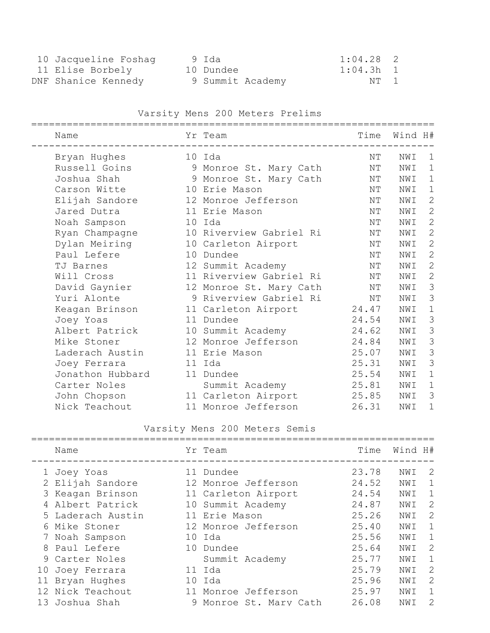| 10 Jacqueline Foshag | 9 Ida     |                  | $1:04.28$ 2 |  |
|----------------------|-----------|------------------|-------------|--|
| 11 Elise Borbely     | 10 Dundee |                  | 1:04.3h 1   |  |
| DNF Shanice Kennedy  |           | 9 Summit Academy | NT 1        |  |

### Varsity Mens 200 Meters Prelims

| Name             | Yr Team                 | Time  | Wind H# |               |
|------------------|-------------------------|-------|---------|---------------|
| Bryan Hughes     | 10 Ida                  | ΝT    | NWI     | 1             |
| Russell Goins    | 9 Monroe St. Mary Cath  | ΝT    | NWI     | $\mathbf 1$   |
| Joshua Shah      | 9 Monroe St. Mary Cath  | NΤ    | NWI     | $\mathbf 1$   |
| Carson Witte     | 10 Erie Mason           | ΝT    | NWI     | $\mathbf 1$   |
| Elijah Sandore   | 12 Monroe Jefferson     | ΝT    | NWI     | $\mathbf{2}$  |
| Jared Dutra      | 11 Erie Mason           | NΤ    | NWI     | $\mathbf{2}$  |
| Noah Sampson     | 10 Ida                  | NΤ    | NWI     | $\mathbf{2}$  |
| Ryan Champagne   | 10 Riverview Gabriel Ri | NΤ    | NWI     | $\mathbf{2}$  |
| Dylan Meiring    | 10 Carleton Airport     | NΤ    | NWI     | $\mathbf{2}$  |
| Paul Lefere      | 10 Dundee               | ΝT    | NWI     | $\mathbf{2}$  |
| TJ Barnes        | 12 Summit Academy       | ΝT    | NWI     | $\mathbf{2}$  |
| Will Cross       | 11 Riverview Gabriel Ri | ΝT    | NWI     | $\mathbf{2}$  |
| David Gaynier    | 12 Monroe St. Mary Cath | NΤ    | NWI     | 3             |
| Yuri Alonte      | 9 Riverview Gabriel Ri  | NΤ    | NWI     | 3             |
| Keagan Brinson   | 11 Carleton Airport     | 24.47 | NWI     | $\mathbf 1$   |
| Joey Yoas        | 11 Dundee               | 24.54 | NWI     | 3             |
| Albert Patrick   | 10 Summit Academy       | 24.62 | NWI     | $\mathcal{S}$ |
| Mike Stoner      | 12 Monroe Jefferson     | 24.84 | NWI     | 3             |
| Laderach Austin  | 11 Erie Mason           | 25.07 | NWI     | $\mathcal{S}$ |
| Joey Ferrara     | 11 Ida                  | 25.31 | NWI     | $\mathcal{S}$ |
| Jonathon Hubbard | 11 Dundee               | 25.54 | NWI     | $\mathbf 1$   |
| Carter Noles     | Summit Academy          | 25.81 | NWI     | $\mathbf 1$   |
| John Chopson     | 11 Carleton Airport     | 25.85 | NWI     | 3             |
| Nick Teachout    | 11 Monroe Jefferson     | 26.31 | NWI     | 1             |
|                  |                         |       |         |               |

### Varsity Mens 200 Meters Semis

| Name              |    | Yr Team              | Time  | Wind H# |             |
|-------------------|----|----------------------|-------|---------|-------------|
| 1 Joey Yoas       |    | 11 Dundee            | 23.78 | NWI     | -2          |
| 2 Elijah Sandore  |    | 12 Monroe Jefferson  | 24.52 | NWI     | $\mathbf 1$ |
| 3 Keagan Brinson  |    | 11 Carleton Airport  | 24.54 | NWI     | 1           |
| Albert Patrick    |    | 10 Summit Academy    | 24.87 | NWI     | 2           |
| 5 Laderach Austin |    | 11 Erie Mason        | 25.26 | NWI     | 2           |
| 6 Mike Stoner     |    | 12 Monroe Jefferson  | 25.40 | NWI     | 1           |
| 7 Noah Sampson    |    | 10 Ida               | 25.56 | NWI     | 1           |
| 8 Paul Lefere     |    | 10 Dundee            | 25.64 | NWI     | 2           |
| 9 Carter Noles    |    | Summit Academy       | 25.77 | NWI     | 1           |
| 10 Joey Ferrara   |    | 11 Ida               | 25.79 | NWI     | 2           |
| 11 Bryan Hughes   | 10 | Ida                  | 25.96 | NWI     | 2           |
| 12 Nick Teachout  |    | 11 Monroe Jefferson  | 25.97 | NWI     | 1           |
| 13 Joshua Shah    | 9  | Monroe St. Mary Cath | 26.08 | NWI     | 2           |
|                   |    |                      |       |         |             |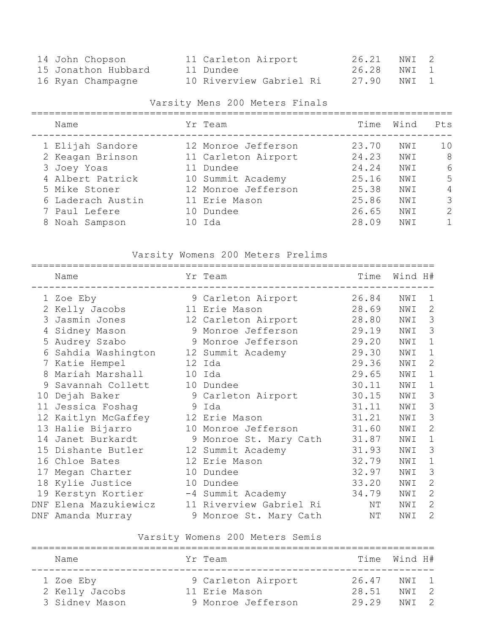| 14 John Chopson     | 11 Carleton Airport     | 26.21 NWI 2 |  |
|---------------------|-------------------------|-------------|--|
| 15 Jonathon Hubbard | 11 Dundee               | 26.28 NWI 1 |  |
| 16 Ryan Champagne   | 10 Riverview Gabriel Ri | 27.90 NWI 1 |  |

### Varsity Mens 200 Meters Finals

| Name                                                                                     | Yr Team                                                                                             | Time                                      | Wind                            | Pts                      |
|------------------------------------------------------------------------------------------|-----------------------------------------------------------------------------------------------------|-------------------------------------------|---------------------------------|--------------------------|
| 1 Elijah Sandore<br>2 Keagan Brinson<br>3 Joey Yoas<br>4 Albert Patrick<br>5 Mike Stoner | 12 Monroe Jefferson<br>11 Carleton Airport<br>11 Dundee<br>10 Summit Academy<br>12 Monroe Jefferson | 23.70<br>24.23<br>24.24<br>25.16<br>25.38 | NWI<br>NWI<br>NWI<br>NWI<br>NWI | 10<br>- 8<br>6<br>5<br>4 |
| 6 Laderach Austin<br>7 Paul Lefere<br>8 Noah Sampson                                     | 11 Erie Mason<br>10 Dundee<br>10 Ida                                                                | 25.86<br>26.65<br>28.09                   | NWI<br>NWI<br>NWI               | 3<br>$\mathcal{L}$       |

### Varsity Womens 200 Meters Prelims

|    | Name                                 | Yr Team                 | Time  | Wind H# |               |
|----|--------------------------------------|-------------------------|-------|---------|---------------|
|    | 1 Zoe Eby                            | 9 Carleton Airport      | 26.84 | NWI     | $\mathbf 1$   |
|    | 2 Kelly Jacobs                       | 11 Erie Mason           | 28.69 | NWI     | $\mathbf{2}$  |
|    | 3 Jasmin Jones                       | 12 Carleton Airport     | 28.80 | NWI     | 3             |
|    | 4 Sidney Mason                       | 9 Monroe Jefferson      | 29.19 | NWI     | 3             |
|    | 5 Audrey Szabo                       | 9 Monroe Jefferson      | 29.20 | NWI     | $\mathbf 1$   |
| 6  | Sahdia Washington                    | 12 Summit Academy       | 29.30 | NWI     | $\mathbf 1$   |
|    | 7 Katie Hempel                       | 12 Ida                  | 29.36 | NWI     | 2             |
| 8  | Mariah Marshall                      | 10 Ida                  | 29.65 | NWI     | $\mathbf 1$   |
| 9  | Savannah Collett                     | 10 Dundee               | 30.11 | NWI     | $\mathbf{1}$  |
| 10 | Dejah Baker                          | 9 Carleton Airport      | 30.15 | NWI     | 3             |
|    | 11 Jessica Foshaq                    | 9 Ida                   | 31.11 | NWI     | $\mathcal{S}$ |
|    | 12 Kaitlyn McGaffey                  | 12 Erie Mason           | 31.21 | NWI     | 3             |
|    | 13 Halie Bijarro                     | 10 Monroe Jefferson     | 31.60 | NWI     | $\mathbf{2}$  |
|    | 14 Janet Burkardt                    | 9 Monroe St. Mary Cath  | 31.87 | NWI     | $\mathbf 1$   |
|    | 15 Dishante Butler                   | 12 Summit Academy       | 31.93 | NWI     | 3             |
|    | 16 Chloe Bates                       | 12 Erie Mason           | 32.79 | NWI     | 1             |
| 17 | Megan Charter                        | 10 Dundee               | 32.97 | NWI     | 3             |
|    | 18 Kylie Justice                     | 10 Dundee               | 33.20 | NWI     | 2             |
|    | 19 Kerstyn Kortier -4 Summit Academy |                         | 34.79 | NWI     | $\mathbf{2}$  |
|    | DNF Elena Mazukiewicz                | 11 Riverview Gabriel Ri | ΝT    | NWI     | $\mathbf{2}$  |
|    | DNF Amanda Murray                    | 9 Monroe St. Mary Cath  | ΝT    | NWI     | $\mathbf{2}$  |

### Varsity Womens 200 Meters Semis

| Name           | Yr Team            |       | Time Wind H# |  |
|----------------|--------------------|-------|--------------|--|
| 1 Zoe Eby      | 9 Carleton Airport | 26.47 | NWI 1        |  |
| 2 Kelly Jacobs | 11 Erie Mason      | 28.51 | NWT 2        |  |
| 3 Sidney Mason | 9 Monroe Jefferson | 29.29 | NWT 2        |  |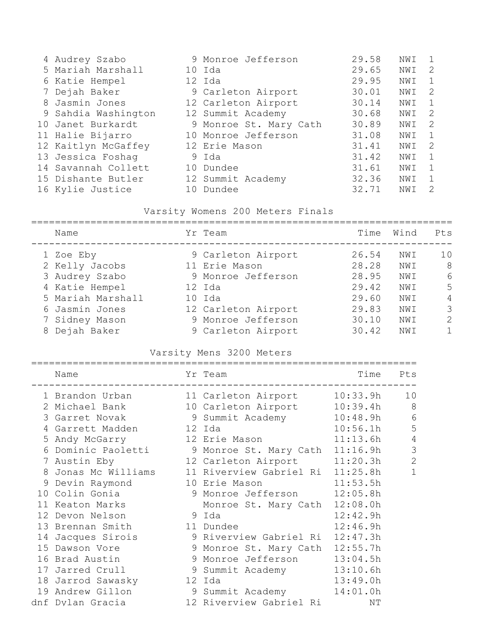| 4 Audrey Szabo      |    | 9 Monroe Jefferson     | 29.58 | NWI | 1  |
|---------------------|----|------------------------|-------|-----|----|
| 5 Mariah Marshall   |    | 10 Ida                 | 29.65 | NWI | -2 |
| 6 Katie Hempel      |    | 12 Ida                 | 29.95 | NWI | 1  |
| 7 Dejah Baker       |    | 9 Carleton Airport     | 30.01 | NWI | -2 |
| 8 Jasmin Jones      |    | 12 Carleton Airport    | 30.14 | NWI | 1  |
| 9 Sahdia Washington |    | 12 Summit Academy      | 30.68 | NWI | 2  |
| 10 Janet Burkardt   |    | 9 Monroe St. Mary Cath | 30.89 | NWI | -2 |
| 11 Halie Bijarro    |    | 10 Monroe Jefferson    | 31.08 | NWI | 1  |
| 12 Kaitlyn McGaffey |    | 12 Erie Mason          | 31.41 | NWI | -2 |
| 13 Jessica Foshag   |    | 9 Ida                  | 31.42 | NWI | 1  |
| 14 Savannah Collett |    | 10 Dundee              | 31.61 | NWI | 1  |
| 15 Dishante Butler  |    | 12 Summit Academy      | 32.36 | NWI | 1  |
| 16 Kylie Justice    | 10 | Dundee                 | 32.71 | NWI | 2  |

# Varsity Womens 200 Meters Finals

| Name              | Yr Team             | Time  | Wind | Pts          |
|-------------------|---------------------|-------|------|--------------|
| 1 Zoe Eby         | 9 Carleton Airport  | 26.54 | NWI  | 10           |
| 2 Kelly Jacobs    | 11 Erie Mason       | 28.28 | NWI  | 8            |
| 3 Audrey Szabo    | 9 Monroe Jefferson  | 28.95 | NWI  | 6            |
| 4 Katie Hempel    | 12 Ida              | 29.42 | NWI  | 5            |
| 5 Mariah Marshall | 10 Ida              | 29.60 | NWI  | 4            |
| 6 Jasmin Jones    | 12 Carleton Airport | 29.83 | NWI  | 3            |
| 7 Sidney Mason    | 9 Monroe Jefferson  | 30.10 | NWI  | 2            |
| 8 Dejah Baker     | 9 Carleton Airport  | 30.42 | NWI  | $\mathbf{1}$ |
|                   |                     |       |      |              |

### Varsity Mens 3200 Meters

| Name                                               | Yr Team                          | Time     | Pts            |
|----------------------------------------------------|----------------------------------|----------|----------------|
| 1 Brandon Urban                                    | 11 Carleton Airport 10:33.9h     |          | 10             |
| 2 Michael Bank                                     | 10 Carleton Airport 10:39.4h     |          | - 8            |
| 3 Garret Novak                                     | 9 Summit Academy 10:48.9h        |          | 6              |
| 4 Garrett Madden                                   | 12 Ida                           | 10:56.1h | 5              |
| 5 Andy McGarry                                     | 12 Erie Mason                    | 11:13.6h | $\overline{4}$ |
| 6 Dominic Paoletti 9 Monroe St. Mary Cath 11:16.9h |                                  |          | $\overline{3}$ |
| 7 Austin Eby                                       | 12 Carleton Airport 11:20.3h     |          | $\overline{2}$ |
| 8 Jonas Mc Williams                                | 11 Riverview Gabriel Ri 11:25.8h |          | $\mathbf{1}$   |
| 9 Devin Raymond                                    | 10 Erie Mason 11:53.5h           |          |                |
| 10 Colin Gonia                                     | 9 Monroe Jefferson 12:05.8h      |          |                |
| 11 Keaton Marks                                    | Monroe St. Mary Cath 12:08.0h    |          |                |
| 12 Devon Nelson                                    | 9 Ida                            | 12:42.9h |                |
| 13 Brennan Smith                                   | 11 Dundee                        | 12:46.9h |                |
| 14 Jacques Sirois                                  | 9 Riverview Gabriel Ri 12:47.3h  |          |                |
| 15 Dawson Vore                                     | 9 Monroe St. Mary Cath 12:55.7h  |          |                |
| 16 Brad Austin                                     | 9 Monroe Jefferson 13:04.5h      |          |                |
| 17 Jarred Crull                                    | 9 Summit Academy 13:10.6h        |          |                |
| 18 Jarrod Sawasky                                  | 12 Ida                           | 13:49.0h |                |
| 19 Andrew Gillon                                   | 9 Summit Academy 14:01.0h        |          |                |
| dnf Dylan Gracia                                   | 12 Riverview Gabriel Ri          | ΝT       |                |
|                                                    |                                  |          |                |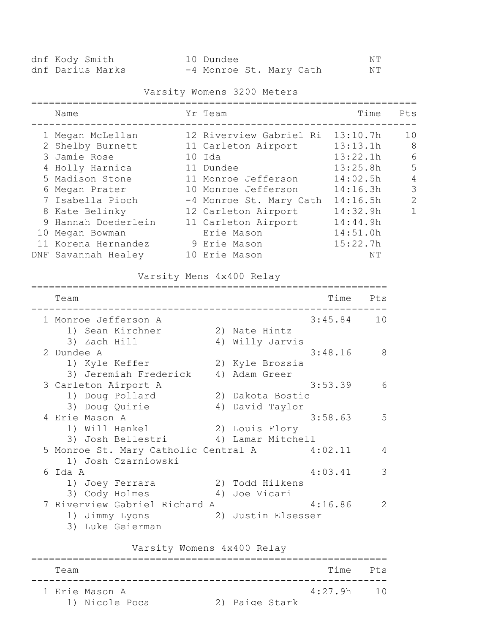| dnf Kody Smith   | 10 Dundee               |  | NΤ |
|------------------|-------------------------|--|----|
| dnf Darius Marks | -4 Monroe St. Mary Cath |  | NT |

### Varsity Womens 3200 Meters

| Name                                                                                                                                                                                                                | Yr Team                                                                                                                                                                                                                    | Time                                                                                                                             | Pts                                                               |
|---------------------------------------------------------------------------------------------------------------------------------------------------------------------------------------------------------------------|----------------------------------------------------------------------------------------------------------------------------------------------------------------------------------------------------------------------------|----------------------------------------------------------------------------------------------------------------------------------|-------------------------------------------------------------------|
| 1 Megan McLellan<br>2 Shelby Burnett<br>3 Jamie Rose<br>4 Holly Harnica<br>5 Madison Stone<br>6 Megan Prater<br>7 Isabella Pioch<br>8 Kate Belinky<br>9 Hannah Doederlein<br>10 Megan Bowman<br>11 Korena Hernandez | 12 Riverview Gabriel Ri<br>11 Carleton Airport<br>10 Ida<br>11 Dundee<br>11 Monroe Jefferson<br>10 Monroe Jefferson<br>-4 Monroe St. Mary Cath<br>12 Carleton Airport<br>11 Carleton Airport<br>Erie Mason<br>9 Erie Mason | 13:10.7h<br>13:13.1h<br>13:22.1h<br>13:25.8h<br>14:02.5h<br>14:16.3h<br>14:16.5h<br>14:32.9h<br>14:44.9h<br>14:51.0h<br>15:22.7h | 10<br>- 8<br>6<br>5<br>$\overline{4}$<br>3<br>$\overline{2}$<br>1 |
| DNF Savannah Healey                                                                                                                                                                                                 | 10 Erie Mason                                                                                                                                                                                                              | ΝT                                                                                                                               |                                                                   |

### Varsity Mens 4x400 Relay

| Team                                         |                    | Time    | Pts |
|----------------------------------------------|--------------------|---------|-----|
| 1 Monroe Jefferson A                         |                    | 3:45.84 | 10  |
| 1) Sean Kirchner                             | 2) Nate Hintz      |         |     |
| 3) Zach Hill                                 | 4) Willy Jarvis    |         |     |
| 2 Dundee A                                   |                    | 3:48.16 | -8  |
| 1) Kyle Keffer                               | 2) Kyle Brossia    |         |     |
| 3) Jeremiah Frederick                        | 4) Adam Greer      |         |     |
| 3 Carleton Airport A                         |                    | 3:53.39 | 6   |
| 1) Doug Pollard                              | 2) Dakota Bostic   |         |     |
| 3) Doug Quirie                               | 4) David Taylor    |         |     |
| 4 Erie Mason A                               |                    | 3:58.63 | 5   |
| 1) Will Henkel                               | 2) Louis Flory     |         |     |
| 3) Josh Bellestri                            | 4) Lamar Mitchell  |         |     |
| 5 Monroe St. Mary Catholic Central A 4:02.11 |                    |         | 4   |
| 1) Josh Czarniowski                          |                    |         |     |
| 6 Ida A                                      |                    | 4:03.41 | 3   |
| 1) Joey Ferrara                              | 2) Todd Hilkens    |         |     |
| 3) Cody Holmes<br>4)                         | Joe Vicari         |         |     |
| 7 Riverview Gabriel Richard A                |                    | 4:16.86 | 2   |
| 1) Jimmy Lyons                               | 2) Justin Elsesser |         |     |
| 3) Luke Geierman                             |                    |         |     |
| Varsity Womens 4x400 Relay                   |                    |         |     |
| Team                                         |                    | Time    | Pts |
| 1 Erie Mason A                               |                    | 4:27.9h | 10  |

1) Nicole Poca 2) Paige Stark